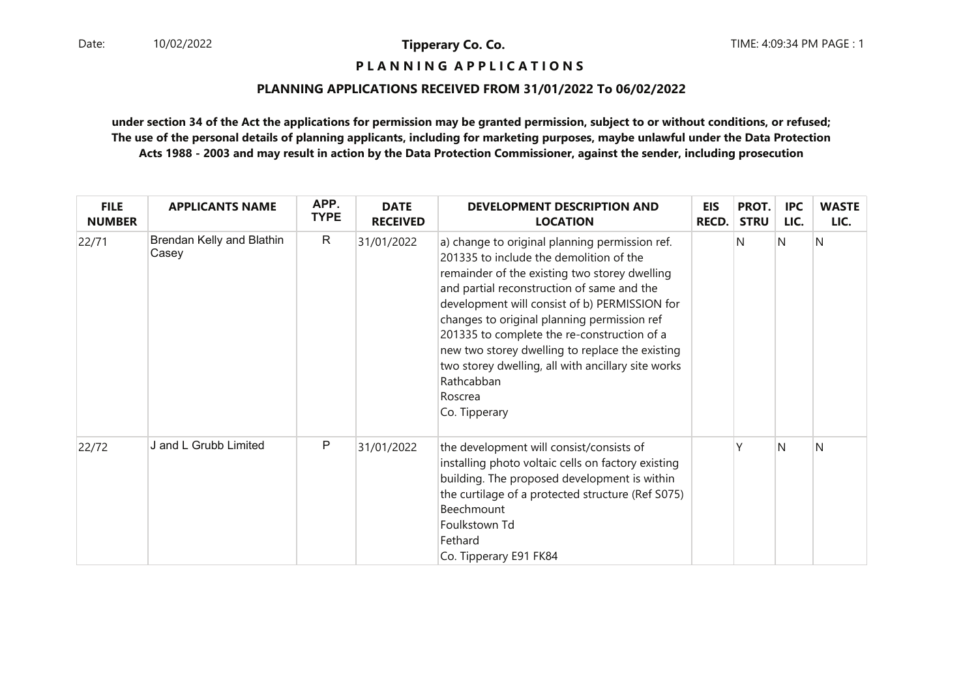**P L A N N I N G A P P L I C A T I O N S** 

#### **PLANNING APPLICATIONS RECEIVED FROM 31/01/2022 To 06/02/2022**

| <b>FILE</b><br><b>NUMBER</b> | <b>APPLICANTS NAME</b>             | APP.<br><b>TYPE</b> | <b>DATE</b><br><b>RECEIVED</b> | <b>DEVELOPMENT DESCRIPTION AND</b><br><b>LOCATION</b>                                                                                                                                                                                                                                                                                                                                                                                                                                      | <b>EIS</b><br><b>RECD.</b> | PROT.<br><b>STRU</b> | IPC<br>LIC. | <b>WASTE</b><br>LIC. |
|------------------------------|------------------------------------|---------------------|--------------------------------|--------------------------------------------------------------------------------------------------------------------------------------------------------------------------------------------------------------------------------------------------------------------------------------------------------------------------------------------------------------------------------------------------------------------------------------------------------------------------------------------|----------------------------|----------------------|-------------|----------------------|
| 22/71                        | Brendan Kelly and Blathin<br>Casey | $\mathsf{R}$        | 31/01/2022                     | a) change to original planning permission ref.<br>201335 to include the demolition of the<br>remainder of the existing two storey dwelling<br>and partial reconstruction of same and the<br>development will consist of b) PERMISSION for<br>changes to original planning permission ref<br>201335 to complete the re-construction of a<br>new two storey dwelling to replace the existing<br>two storey dwelling, all with ancillary site works<br>Rathcabban<br>Roscrea<br>Co. Tipperary |                            | N                    | N           | N                    |
| 22/72                        | J and L Grubb Limited              | P                   | 31/01/2022                     | the development will consist/consists of<br>installing photo voltaic cells on factory existing<br>building. The proposed development is within<br>the curtilage of a protected structure (Ref S075)<br>Beechmount<br>Foulkstown Td<br>Fethard<br>Co. Tipperary E91 FK84                                                                                                                                                                                                                    |                            |                      | N           | N                    |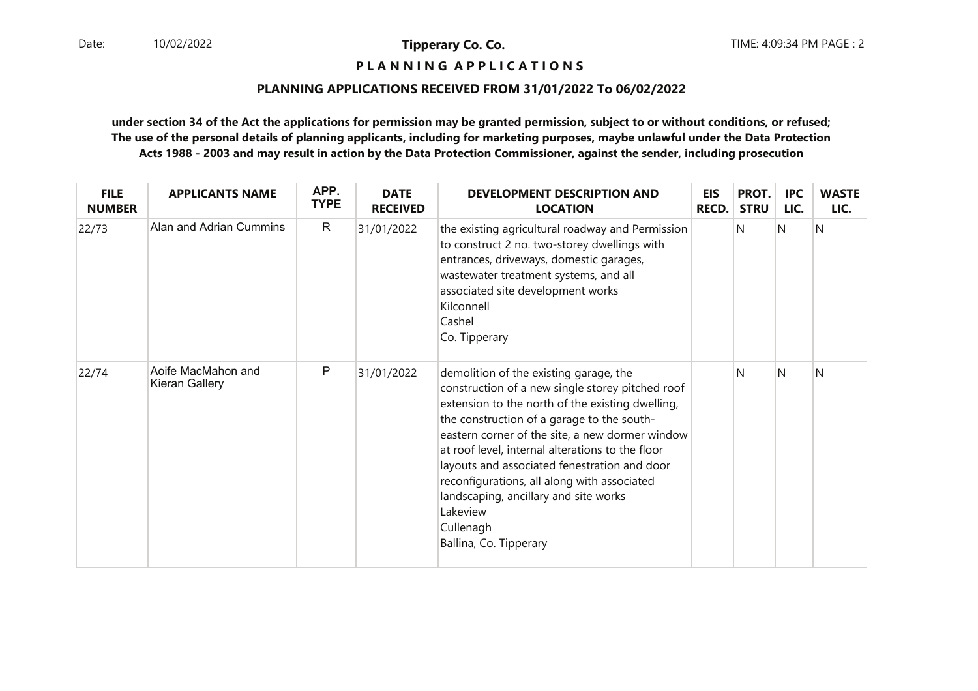## **P L A N N I N G A P P L I C A T I O N S**

#### **PLANNING APPLICATIONS RECEIVED FROM 31/01/2022 To 06/02/2022**

| <b>FILE</b><br><b>NUMBER</b> | <b>APPLICANTS NAME</b>               | APP.<br><b>TYPE</b> | <b>DATE</b><br><b>RECEIVED</b> | DEVELOPMENT DESCRIPTION AND<br><b>LOCATION</b>                                                                                                                                                                                                                                                                                                                                                                                                                                                 | <b>EIS</b><br><b>RECD.</b> | PROT.<br><b>STRU</b> | <b>IPC</b><br>LIC. | <b>WASTE</b><br>LIC. |
|------------------------------|--------------------------------------|---------------------|--------------------------------|------------------------------------------------------------------------------------------------------------------------------------------------------------------------------------------------------------------------------------------------------------------------------------------------------------------------------------------------------------------------------------------------------------------------------------------------------------------------------------------------|----------------------------|----------------------|--------------------|----------------------|
| 22/73                        | Alan and Adrian Cummins              | $\mathsf{R}$        | 31/01/2022                     | the existing agricultural roadway and Permission<br>to construct 2 no. two-storey dwellings with<br>entrances, driveways, domestic garages,<br>wastewater treatment systems, and all<br>associated site development works<br>Kilconnell<br>Cashel<br>Co. Tipperary                                                                                                                                                                                                                             |                            | N                    | IN.                | N                    |
| 22/74                        | Aoife MacMahon and<br>Kieran Gallery | P                   | 31/01/2022                     | demolition of the existing garage, the<br>construction of a new single storey pitched roof<br>extension to the north of the existing dwelling,<br>the construction of a garage to the south-<br>eastern corner of the site, a new dormer window<br>at roof level, internal alterations to the floor<br>layouts and associated fenestration and door<br>reconfigurations, all along with associated<br>landscaping, ancillary and site works<br>Lakeview<br>Cullenagh<br>Ballina, Co. Tipperary |                            | N                    | N                  | N                    |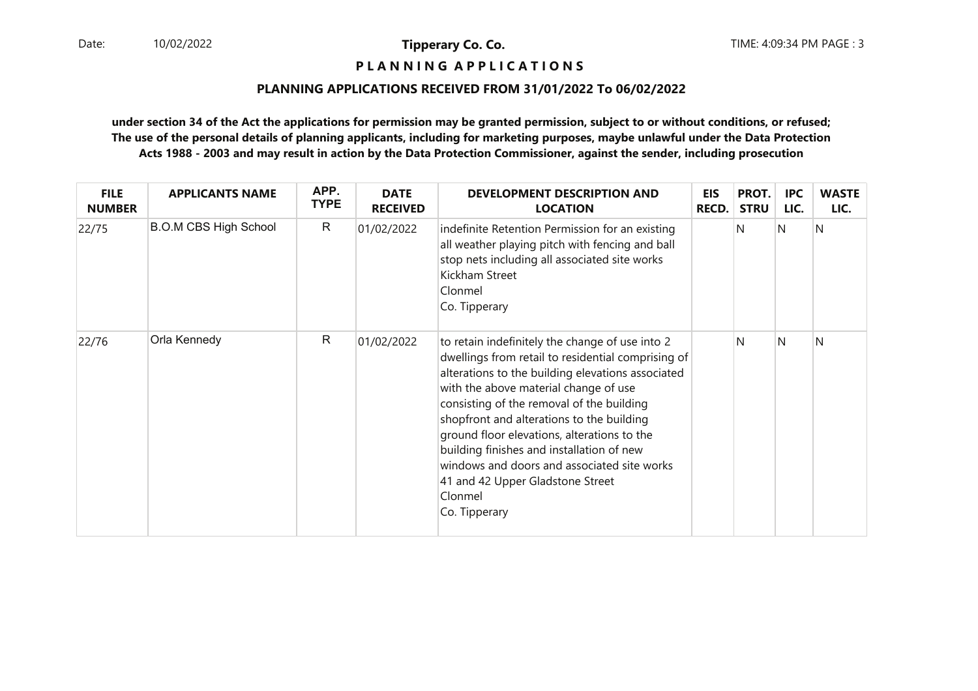**P L A N N I N G A P P L I C A T I O N S** 

#### **PLANNING APPLICATIONS RECEIVED FROM 31/01/2022 To 06/02/2022**

| <b>FILE</b><br><b>NUMBER</b> | <b>APPLICANTS NAME</b>       | APP.<br><b>TYPE</b> | <b>DATE</b><br><b>RECEIVED</b> | <b>DEVELOPMENT DESCRIPTION AND</b><br><b>LOCATION</b>                                                                                                                                                                                                                                                                                                                                                                                                                                                    | EIS<br><b>RECD.</b> | PROT.<br><b>STRU</b> | <b>IPC</b><br>LIC. | <b>WASTE</b><br>LIC. |
|------------------------------|------------------------------|---------------------|--------------------------------|----------------------------------------------------------------------------------------------------------------------------------------------------------------------------------------------------------------------------------------------------------------------------------------------------------------------------------------------------------------------------------------------------------------------------------------------------------------------------------------------------------|---------------------|----------------------|--------------------|----------------------|
| 22/75                        | <b>B.O.M CBS High School</b> | $\mathsf{R}$        | 01/02/2022                     | indefinite Retention Permission for an existing<br>all weather playing pitch with fencing and ball<br>stop nets including all associated site works<br>Kickham Street<br>Clonmel<br>Co. Tipperary                                                                                                                                                                                                                                                                                                        |                     | N                    | N                  | N                    |
| 22/76                        | Orla Kennedy                 | $\mathsf{R}$        | 01/02/2022                     | to retain indefinitely the change of use into 2<br>dwellings from retail to residential comprising of<br>alterations to the building elevations associated<br>with the above material change of use<br>consisting of the removal of the building<br>shopfront and alterations to the building<br>ground floor elevations, alterations to the<br>building finishes and installation of new<br>windows and doors and associated site works<br>41 and 42 Upper Gladstone Street<br>Clonmel<br>Co. Tipperary |                     | N                    | N                  | N                    |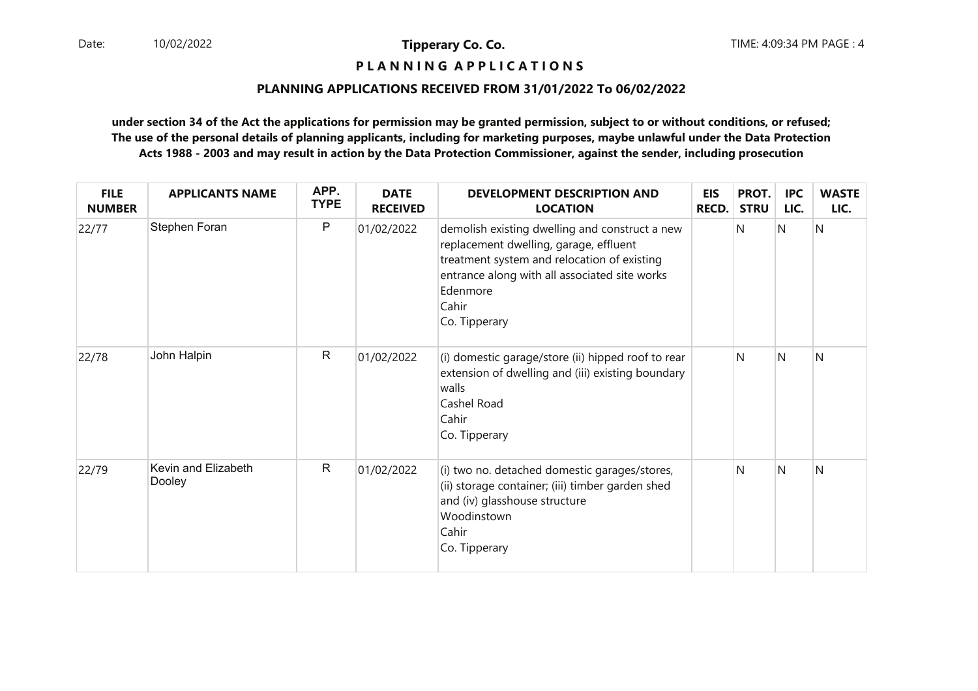## **P L A N N I N G A P P L I C A T I O N S**

#### **PLANNING APPLICATIONS RECEIVED FROM 31/01/2022 To 06/02/2022**

| <b>FILE</b><br><b>NUMBER</b> | <b>APPLICANTS NAME</b>        | APP.<br><b>TYPE</b> | <b>DATE</b><br><b>RECEIVED</b> | DEVELOPMENT DESCRIPTION AND<br><b>LOCATION</b>                                                                                                                                                                                 | <b>EIS</b><br>RECD. | PROT.<br><b>STRU</b> | <b>IPC</b><br>LIC. | <b>WASTE</b><br>LIC. |
|------------------------------|-------------------------------|---------------------|--------------------------------|--------------------------------------------------------------------------------------------------------------------------------------------------------------------------------------------------------------------------------|---------------------|----------------------|--------------------|----------------------|
| 22/77                        | Stephen Foran                 | P                   | 01/02/2022                     | demolish existing dwelling and construct a new<br>replacement dwelling, garage, effluent<br>treatment system and relocation of existing<br>entrance along with all associated site works<br>Edenmore<br>Cahir<br>Co. Tipperary |                     | N                    | N                  | N                    |
| 22/78                        | John Halpin                   | $\mathsf{R}$        | 01/02/2022                     | (i) domestic garage/store (ii) hipped roof to rear<br>extension of dwelling and (iii) existing boundary<br>walls<br>Cashel Road<br>Cahir<br>Co. Tipperary                                                                      |                     | N                    | N                  | N                    |
| 22/79                        | Kevin and Elizabeth<br>Dooley | $\mathsf{R}$        | 01/02/2022                     | (i) two no. detached domestic garages/stores,<br>(ii) storage container; (iii) timber garden shed<br>and (iv) glasshouse structure<br>Woodinstown<br>Cahir<br>Co. Tipperary                                                    |                     | N                    | N                  | N                    |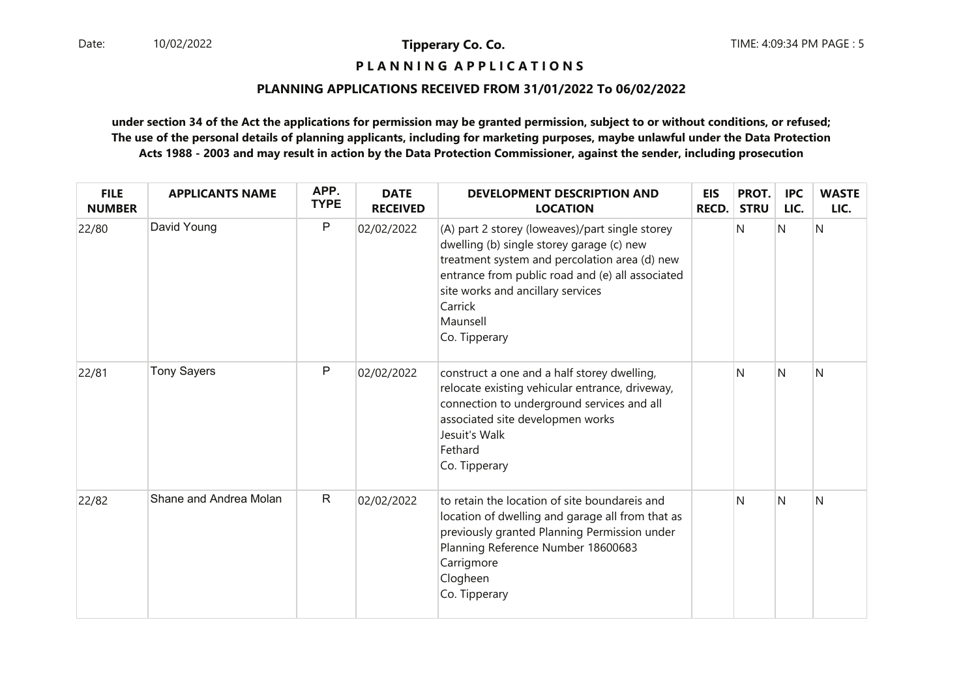## **P L A N N I N G A P P L I C A T I O N S**

#### **PLANNING APPLICATIONS RECEIVED FROM 31/01/2022 To 06/02/2022**

| <b>FILE</b><br><b>NUMBER</b> | <b>APPLICANTS NAME</b> | APP.<br><b>TYPE</b> | <b>DATE</b><br><b>RECEIVED</b> | <b>DEVELOPMENT DESCRIPTION AND</b><br><b>LOCATION</b>                                                                                                                                                                                                                          | <b>EIS</b><br><b>RECD.</b> | PROT.<br><b>STRU</b> | <b>IPC</b><br>LIC. | <b>WASTE</b><br>LIC. |
|------------------------------|------------------------|---------------------|--------------------------------|--------------------------------------------------------------------------------------------------------------------------------------------------------------------------------------------------------------------------------------------------------------------------------|----------------------------|----------------------|--------------------|----------------------|
| 22/80                        | David Young            | P                   | 02/02/2022                     | (A) part 2 storey (loweaves)/part single storey<br>dwelling (b) single storey garage (c) new<br>treatment system and percolation area (d) new<br>entrance from public road and (e) all associated<br>site works and ancillary services<br>Carrick<br>Maunsell<br>Co. Tipperary |                            | N                    | $\mathsf{N}$       | N                    |
| 22/81                        | <b>Tony Sayers</b>     | P                   | 02/02/2022                     | construct a one and a half storey dwelling,<br>relocate existing vehicular entrance, driveway,<br>connection to underground services and all<br>associated site developmen works<br>Jesuit's Walk<br>Fethard<br>Co. Tipperary                                                  |                            | N                    | N                  | Ν                    |
| 22/82                        | Shane and Andrea Molan | $\mathsf{R}$        | 02/02/2022                     | to retain the location of site boundareis and<br>location of dwelling and garage all from that as<br>previously granted Planning Permission under<br>Planning Reference Number 18600683<br>Carrigmore<br>Clogheen<br>Co. Tipperary                                             |                            | N                    | <sup>N</sup>       | N                    |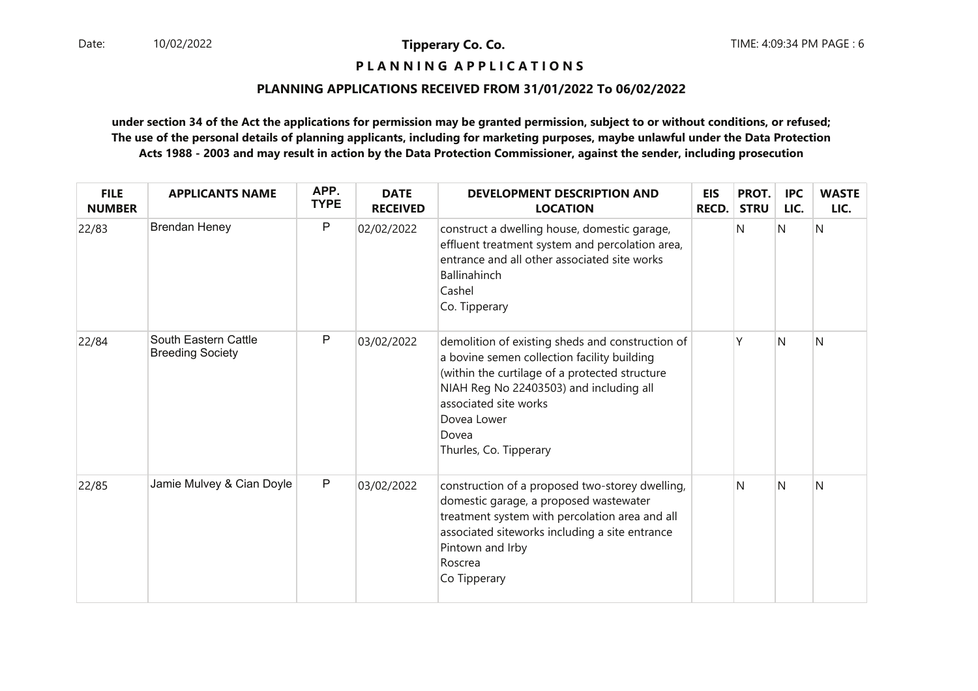**P L A N N I N G A P P L I C A T I O N S** 

#### **PLANNING APPLICATIONS RECEIVED FROM 31/01/2022 To 06/02/2022**

| <b>FILE</b><br><b>NUMBER</b> | <b>APPLICANTS NAME</b>                          | APP.<br><b>TYPE</b> | <b>DATE</b><br><b>RECEIVED</b> | DEVELOPMENT DESCRIPTION AND<br><b>LOCATION</b>                                                                                                                                                                                                                          | <b>EIS</b><br><b>RECD.</b> | PROT.<br><b>STRU</b> | <b>IPC</b><br>LIC. | <b>WASTE</b><br>LIC. |
|------------------------------|-------------------------------------------------|---------------------|--------------------------------|-------------------------------------------------------------------------------------------------------------------------------------------------------------------------------------------------------------------------------------------------------------------------|----------------------------|----------------------|--------------------|----------------------|
| 22/83                        | <b>Brendan Heney</b>                            | P                   | 02/02/2022                     | construct a dwelling house, domestic garage,<br>effluent treatment system and percolation area,<br>entrance and all other associated site works<br>Ballinahinch<br>Cashel<br>Co. Tipperary                                                                              |                            | N                    | N                  | N                    |
| 22/84                        | South Eastern Cattle<br><b>Breeding Society</b> | P                   | 03/02/2022                     | demolition of existing sheds and construction of<br>a bovine semen collection facility building<br>(within the curtilage of a protected structure<br>NIAH Reg No 22403503) and including all<br>associated site works<br>Dovea Lower<br>Dovea<br>Thurles, Co. Tipperary |                            |                      | N                  | N                    |
| 22/85                        | Jamie Mulvey & Cian Doyle                       | $\mathsf P$         | 03/02/2022                     | construction of a proposed two-storey dwelling,<br>domestic garage, a proposed wastewater<br>treatment system with percolation area and all<br>associated siteworks including a site entrance<br>Pintown and Irby<br>Roscrea<br>Co Tipperary                            |                            | N                    | N                  | Ν                    |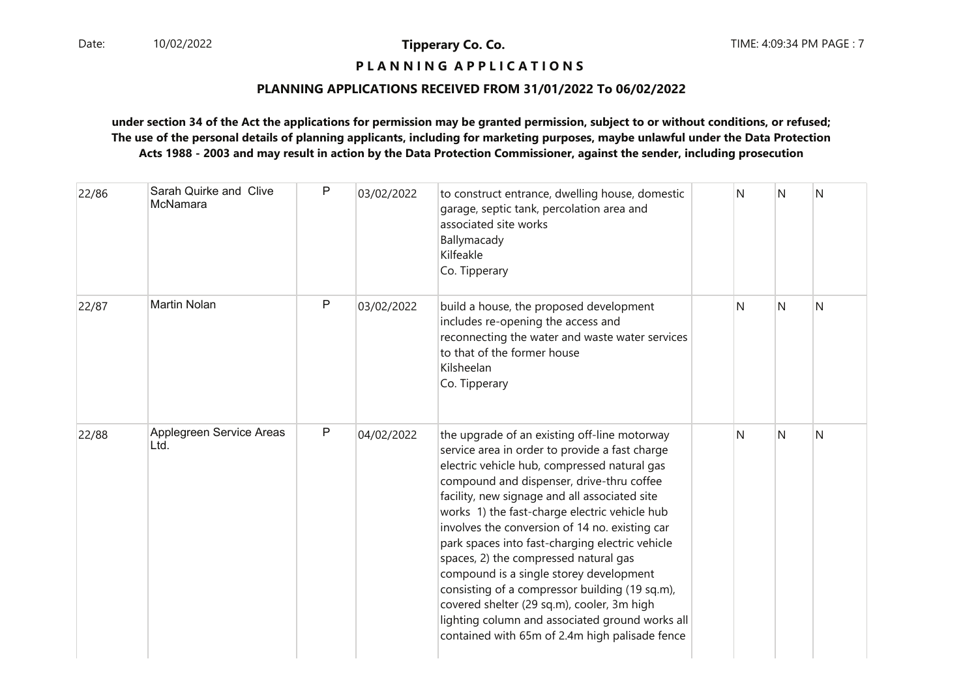# **P L A N N I N G A P P L I C A T I O N S**

#### **PLANNING APPLICATIONS RECEIVED FROM 31/01/2022 To 06/02/2022**

| 22/86 | Sarah Quirke and Clive<br>McNamara | P | 03/02/2022 | to construct entrance, dwelling house, domestic<br>garage, septic tank, percolation area and<br>associated site works<br>Ballymacady<br>Kilfeakle<br>Co. Tipperary                                                                                                                                                                                                                                                                                                                                                                                                                                                                                                                          | N | N            | N |
|-------|------------------------------------|---|------------|---------------------------------------------------------------------------------------------------------------------------------------------------------------------------------------------------------------------------------------------------------------------------------------------------------------------------------------------------------------------------------------------------------------------------------------------------------------------------------------------------------------------------------------------------------------------------------------------------------------------------------------------------------------------------------------------|---|--------------|---|
| 22/87 | <b>Martin Nolan</b>                | P | 03/02/2022 | build a house, the proposed development<br>includes re-opening the access and<br>reconnecting the water and waste water services<br>to that of the former house<br>Kilsheelan<br>Co. Tipperary                                                                                                                                                                                                                                                                                                                                                                                                                                                                                              | N | $\mathsf{N}$ | N |
| 22/88 | Applegreen Service Areas<br>Ltd.   | P | 04/02/2022 | the upgrade of an existing off-line motorway<br>service area in order to provide a fast charge<br>electric vehicle hub, compressed natural gas<br>compound and dispenser, drive-thru coffee<br>facility, new signage and all associated site<br>works 1) the fast-charge electric vehicle hub<br>involves the conversion of 14 no. existing car<br>park spaces into fast-charging electric vehicle<br>spaces, 2) the compressed natural gas<br>compound is a single storey development<br>consisting of a compressor building (19 sq.m),<br>covered shelter (29 sq.m), cooler, 3m high<br>lighting column and associated ground works all<br>contained with 65m of 2.4m high palisade fence | N | N            | N |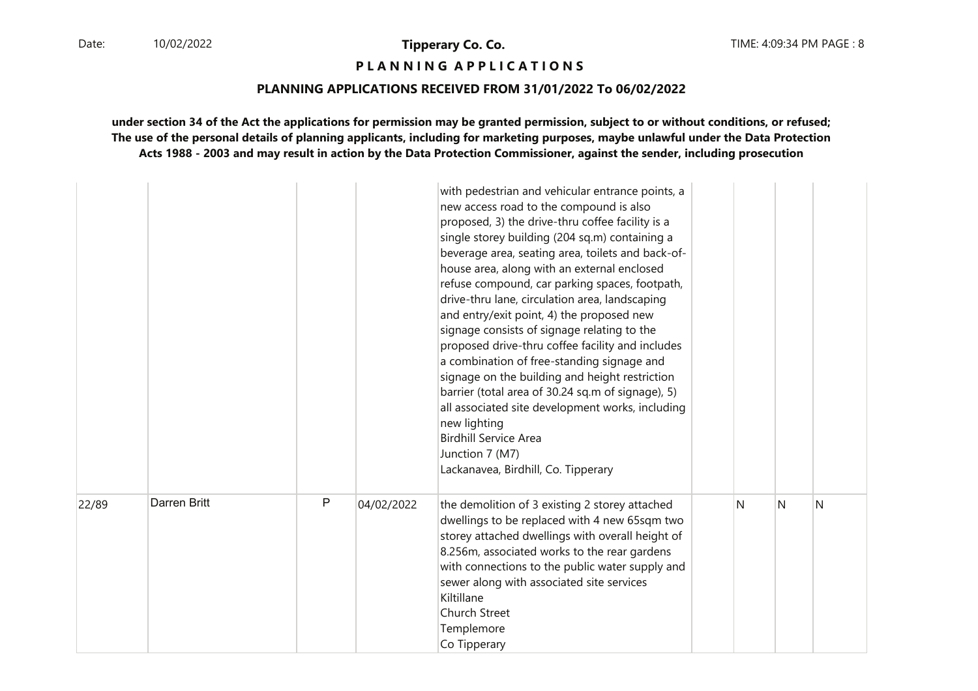# **P L A N N I N G A P P L I C A T I O N S**

#### **PLANNING APPLICATIONS RECEIVED FROM 31/01/2022 To 06/02/2022**

|       |              |   |            | with pedestrian and vehicular entrance points, a<br>new access road to the compound is also<br>proposed, 3) the drive-thru coffee facility is a<br>single storey building (204 sq.m) containing a<br>beverage area, seating area, toilets and back-of-<br>house area, along with an external enclosed<br>refuse compound, car parking spaces, footpath,<br>drive-thru lane, circulation area, landscaping<br>and entry/exit point, 4) the proposed new<br>signage consists of signage relating to the<br>proposed drive-thru coffee facility and includes<br>a combination of free-standing signage and<br>signage on the building and height restriction<br>barrier (total area of 30.24 sq.m of signage), 5)<br>all associated site development works, including<br>new lighting<br><b>Birdhill Service Area</b><br>Junction 7 (M7)<br>Lackanavea, Birdhill, Co. Tipperary |   |   |   |
|-------|--------------|---|------------|------------------------------------------------------------------------------------------------------------------------------------------------------------------------------------------------------------------------------------------------------------------------------------------------------------------------------------------------------------------------------------------------------------------------------------------------------------------------------------------------------------------------------------------------------------------------------------------------------------------------------------------------------------------------------------------------------------------------------------------------------------------------------------------------------------------------------------------------------------------------------|---|---|---|
| 22/89 | Darren Britt | P | 04/02/2022 | the demolition of 3 existing 2 storey attached<br>dwellings to be replaced with 4 new 65sqm two<br>storey attached dwellings with overall height of<br>8.256m, associated works to the rear gardens<br>with connections to the public water supply and<br>sewer along with associated site services<br>Kiltillane<br>Church Street<br>Templemore<br>Co Tipperary                                                                                                                                                                                                                                                                                                                                                                                                                                                                                                             | N | N | N |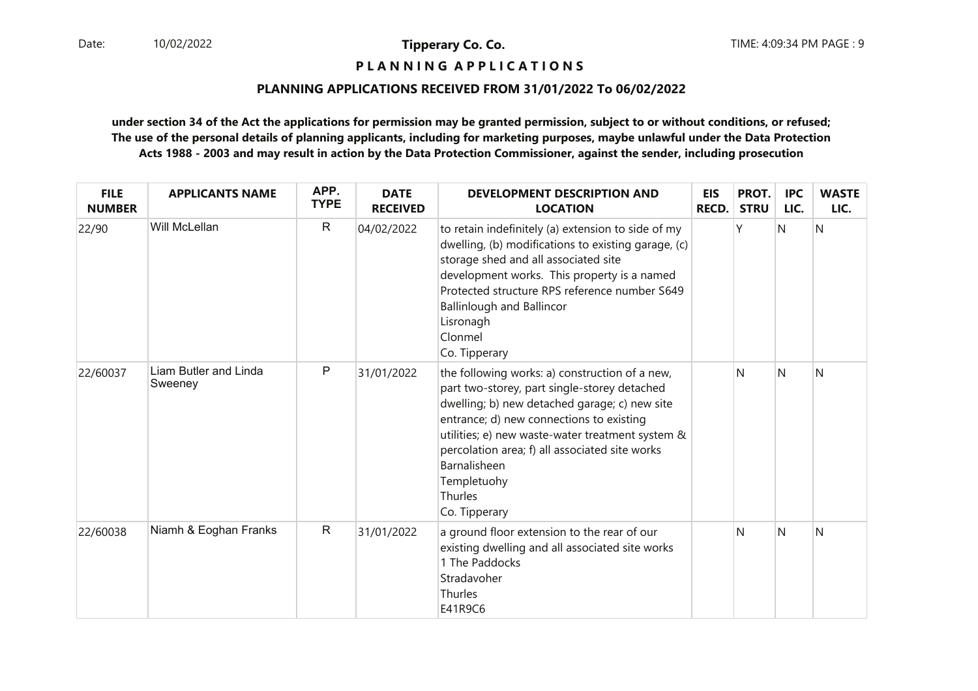**P L A N N I N G A P P L I C A T I O N S** 

#### **PLANNING APPLICATIONS RECEIVED FROM 31/01/2022 To 06/02/2022**

| <b>FILE</b><br><b>NUMBER</b> | <b>APPLICANTS NAME</b>           | APP.<br><b>TYPE</b> | <b>DATE</b><br><b>RECEIVED</b> | <b>DEVELOPMENT DESCRIPTION AND</b><br><b>LOCATION</b>                                                                                                                                                                                                                                                                                                        | <b>EIS</b><br><b>RECD.</b> | PROT.<br><b>STRU</b> | <b>IPC</b><br>LIC. | <b>WASTE</b><br>LIC. |
|------------------------------|----------------------------------|---------------------|--------------------------------|--------------------------------------------------------------------------------------------------------------------------------------------------------------------------------------------------------------------------------------------------------------------------------------------------------------------------------------------------------------|----------------------------|----------------------|--------------------|----------------------|
| 22/90                        | Will McLellan                    | $\mathsf{R}$        | 04/02/2022                     | to retain indefinitely (a) extension to side of my<br>dwelling, (b) modifications to existing garage, (c)<br>storage shed and all associated site<br>development works. This property is a named<br>Protected structure RPS reference number S649<br><b>Ballinlough and Ballincor</b><br>Lisronagh<br>Clonmel<br>Co. Tipperary                               |                            | Υ                    | N                  | N                    |
| 22/60037                     | Liam Butler and Linda<br>Sweeney | P                   | 31/01/2022                     | the following works: a) construction of a new,<br>part two-storey, part single-storey detached<br>dwelling; b) new detached garage; c) new site<br>entrance; d) new connections to existing<br>utilities; e) new waste-water treatment system &<br>percolation area; f) all associated site works<br>Barnalisheen<br>Templetuohy<br>Thurles<br>Co. Tipperary |                            | N                    | N                  | N                    |
| 22/60038                     | Niamh & Eoghan Franks            | $\mathsf{R}$        | 31/01/2022                     | a ground floor extension to the rear of our<br>existing dwelling and all associated site works<br>1 The Paddocks<br>Stradavoher<br>Thurles<br>E41R9C6                                                                                                                                                                                                        |                            | N                    | N                  | N                    |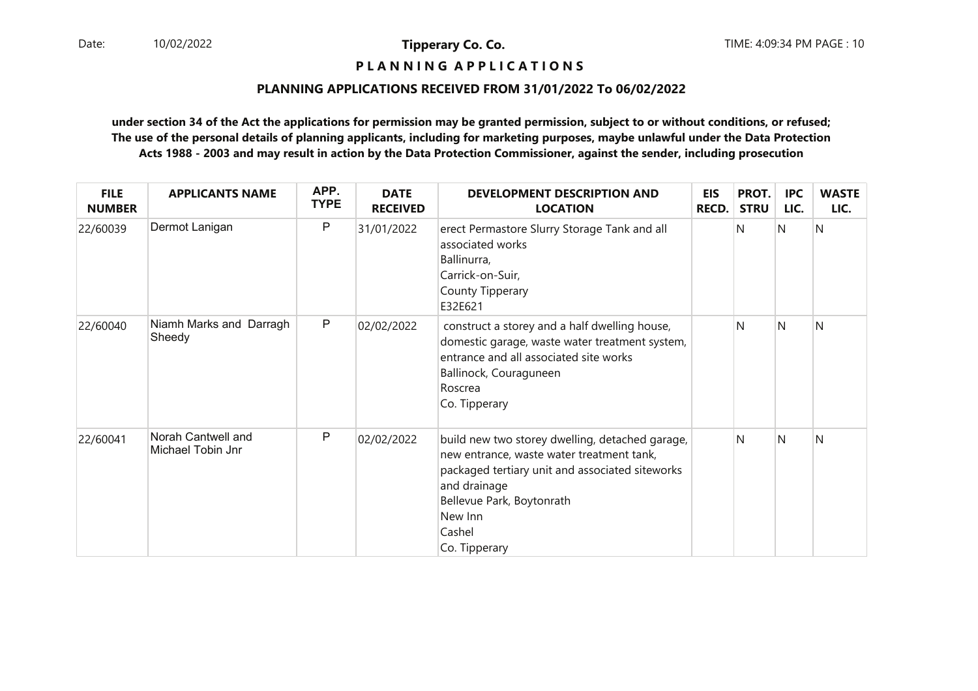## **P L A N N I N G A P P L I C A T I O N S**

#### **PLANNING APPLICATIONS RECEIVED FROM 31/01/2022 To 06/02/2022**

| <b>FILE</b><br><b>NUMBER</b> | <b>APPLICANTS NAME</b>                  | APP.<br><b>TYPE</b> | <b>DATE</b><br><b>RECEIVED</b> | <b>DEVELOPMENT DESCRIPTION AND</b><br><b>LOCATION</b>                                                                                                                                                                              | <b>EIS</b><br><b>RECD.</b> | PROT.<br><b>STRU</b> | <b>IPC</b><br>LIC. | <b>WASTE</b><br>LIC. |
|------------------------------|-----------------------------------------|---------------------|--------------------------------|------------------------------------------------------------------------------------------------------------------------------------------------------------------------------------------------------------------------------------|----------------------------|----------------------|--------------------|----------------------|
| 22/60039                     | Dermot Lanigan                          | P                   | 31/01/2022                     | erect Permastore Slurry Storage Tank and all<br>associated works<br>Ballinurra,<br>Carrick-on-Suir,<br>County Tipperary<br>E32E621                                                                                                 |                            | N                    | N                  | Ν                    |
| 22/60040                     | Niamh Marks and Darragh<br>Sheedy       | $\mathsf{P}$        | 02/02/2022                     | construct a storey and a half dwelling house,<br>domestic garage, waste water treatment system,<br>entrance and all associated site works<br>Ballinock, Couraguneen<br>Roscrea<br>Co. Tipperary                                    |                            | N                    | N                  | N                    |
| 22/60041                     | Norah Cantwell and<br>Michael Tobin Jnr | P                   | 02/02/2022                     | build new two storey dwelling, detached garage,<br>new entrance, waste water treatment tank,<br>packaged tertiary unit and associated siteworks<br>and drainage<br>Bellevue Park, Boytonrath<br>New Inn<br>Cashel<br>Co. Tipperary |                            | N                    | N                  | N                    |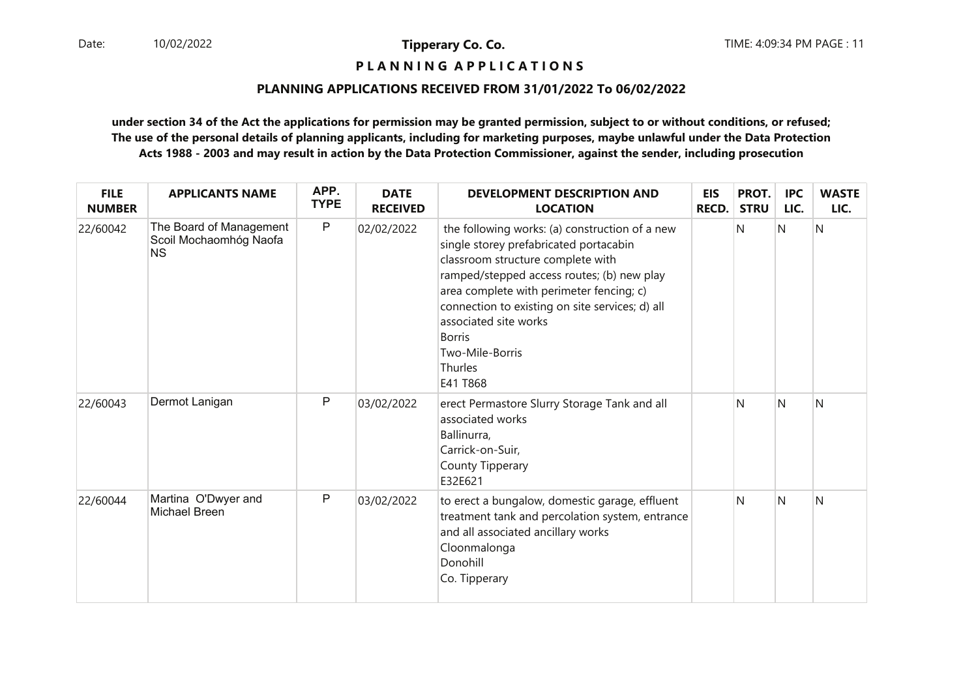## **P L A N N I N G A P P L I C A T I O N S**

#### **PLANNING APPLICATIONS RECEIVED FROM 31/01/2022 To 06/02/2022**

| <b>FILE</b><br><b>NUMBER</b> | <b>APPLICANTS NAME</b>                                         | APP.<br><b>TYPE</b> | <b>DATE</b><br><b>RECEIVED</b> | DEVELOPMENT DESCRIPTION AND<br><b>LOCATION</b>                                                                                                                                                                                                                                                                                                                        | <b>EIS</b><br><b>RECD.</b> | PROT.<br><b>STRU</b> | <b>IPC</b><br>LIC. | <b>WASTE</b><br>LIC. |
|------------------------------|----------------------------------------------------------------|---------------------|--------------------------------|-----------------------------------------------------------------------------------------------------------------------------------------------------------------------------------------------------------------------------------------------------------------------------------------------------------------------------------------------------------------------|----------------------------|----------------------|--------------------|----------------------|
| 22/60042                     | The Board of Management<br>Scoil Mochaomhóg Naofa<br><b>NS</b> | $\mathsf P$         | 02/02/2022                     | the following works: (a) construction of a new<br>single storey prefabricated portacabin<br>classroom structure complete with<br>ramped/stepped access routes; (b) new play<br>area complete with perimeter fencing; c)<br>connection to existing on site services; d) all<br>associated site works<br><b>Borris</b><br>Two-Mile-Borris<br><b>Thurles</b><br>E41 T868 |                            | N                    | N                  | N                    |
| 22/60043                     | Dermot Lanigan                                                 | P                   | 03/02/2022                     | erect Permastore Slurry Storage Tank and all<br>associated works<br>Ballinurra,<br>Carrick-on-Suir,<br>County Tipperary<br>E32E621                                                                                                                                                                                                                                    |                            | N                    | N                  | N                    |
| 22/60044                     | Martina O'Dwyer and<br>Michael Breen                           | $\mathsf{P}$        | 03/02/2022                     | to erect a bungalow, domestic garage, effluent<br>treatment tank and percolation system, entrance<br>and all associated ancillary works<br>Cloonmalonga<br>Donohill<br>Co. Tipperary                                                                                                                                                                                  |                            | N                    | N                  | Ν                    |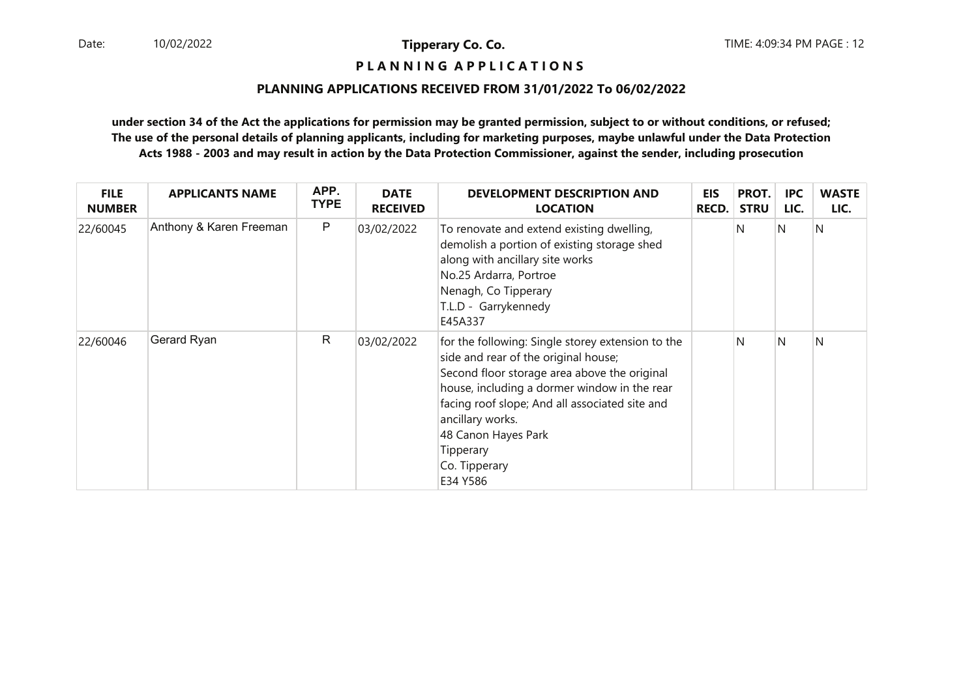## **P L A N N I N G A P P L I C A T I O N S**

#### **PLANNING APPLICATIONS RECEIVED FROM 31/01/2022 To 06/02/2022**

| <b>FILE</b><br><b>NUMBER</b> | <b>APPLICANTS NAME</b>  | APP.<br><b>TYPE</b> | <b>DATE</b><br><b>RECEIVED</b> | <b>DEVELOPMENT DESCRIPTION AND</b><br><b>LOCATION</b>                                                                                                                                                                                                                                                                            | <b>EIS</b><br><b>RECD.</b> | PROT.<br><b>STRU</b> | <b>IPC</b><br>LIC. | <b>WASTE</b><br>LIC. |
|------------------------------|-------------------------|---------------------|--------------------------------|----------------------------------------------------------------------------------------------------------------------------------------------------------------------------------------------------------------------------------------------------------------------------------------------------------------------------------|----------------------------|----------------------|--------------------|----------------------|
| 22/60045                     | Anthony & Karen Freeman | $\mathsf{P}$        | 03/02/2022                     | To renovate and extend existing dwelling,<br>demolish a portion of existing storage shed<br>along with ancillary site works<br>No.25 Ardarra, Portroe<br>Nenagh, Co Tipperary<br>T.L.D - Garrykennedy<br>E45A337                                                                                                                 |                            | N                    | N                  | N                    |
| 22/60046                     | Gerard Ryan             | R                   | 03/02/2022                     | for the following: Single storey extension to the<br>side and rear of the original house;<br>Second floor storage area above the original<br>house, including a dormer window in the rear<br>facing roof slope; And all associated site and<br>ancillary works.<br>48 Canon Hayes Park<br>Tipperary<br>Co. Tipperary<br>E34 Y586 |                            | N                    | <sup>N</sup>       | N                    |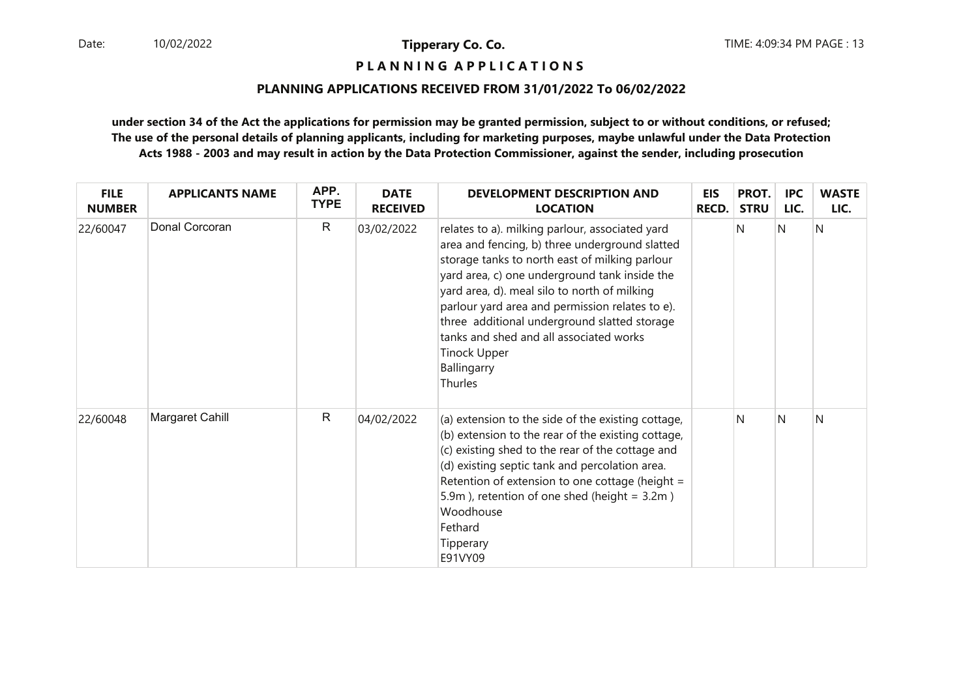## **P L A N N I N G A P P L I C A T I O N S**

#### **PLANNING APPLICATIONS RECEIVED FROM 31/01/2022 To 06/02/2022**

| <b>FILE</b><br><b>NUMBER</b> | <b>APPLICANTS NAME</b> | APP.<br><b>TYPE</b> | <b>DATE</b><br><b>RECEIVED</b> | <b>DEVELOPMENT DESCRIPTION AND</b><br><b>LOCATION</b>                                                                                                                                                                                                                                                                                                                                                                                               | <b>EIS</b><br><b>RECD.</b> | PROT.<br><b>STRU</b> | <b>IPC</b><br>LIC. | <b>WASTE</b><br>LIC. |
|------------------------------|------------------------|---------------------|--------------------------------|-----------------------------------------------------------------------------------------------------------------------------------------------------------------------------------------------------------------------------------------------------------------------------------------------------------------------------------------------------------------------------------------------------------------------------------------------------|----------------------------|----------------------|--------------------|----------------------|
| 22/60047                     | Donal Corcoran         | $\mathsf{R}$        | 03/02/2022                     | relates to a). milking parlour, associated yard<br>area and fencing, b) three underground slatted<br>storage tanks to north east of milking parlour<br>yard area, c) one underground tank inside the<br>yard area, d). meal silo to north of milking<br>parlour yard area and permission relates to e).<br>three additional underground slatted storage<br>tanks and shed and all associated works<br><b>Tinock Upper</b><br>Ballingarry<br>Thurles |                            | N                    | N                  | Ν                    |
| 22/60048                     | Margaret Cahill        | $\mathsf{R}$        | 04/02/2022                     | (a) extension to the side of the existing cottage,<br>(b) extension to the rear of the existing cottage,<br>(c) existing shed to the rear of the cottage and<br>(d) existing septic tank and percolation area.<br>Retention of extension to one cottage (height =<br>5.9m), retention of one shed (height = 3.2m)<br>Woodhouse<br>Fethard<br>Tipperary<br>E91VY09                                                                                   |                            | N                    | N                  | N                    |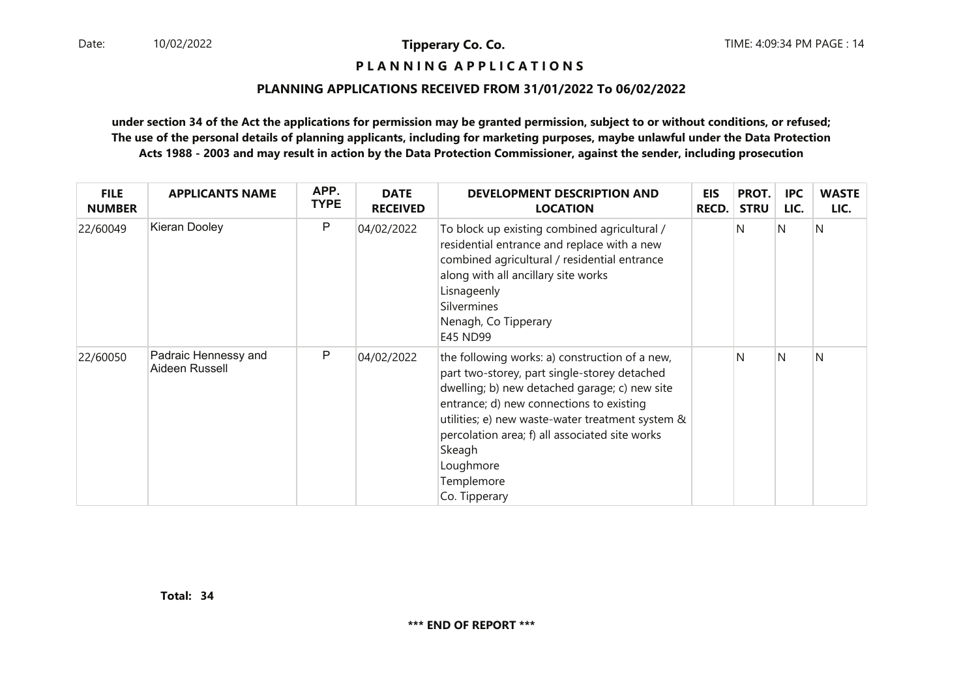#### **P L A N N I N G A P P L I C A T I O N S**

#### **PLANNING APPLICATIONS RECEIVED FROM 31/01/2022 To 06/02/2022**

| <b>FILE</b><br><b>NUMBER</b> | <b>APPLICANTS NAME</b>                 | APP.<br><b>TYPE</b> | <b>DATE</b><br><b>RECEIVED</b> | <b>DEVELOPMENT DESCRIPTION AND</b><br><b>LOCATION</b>                                                                                                                                                                                                                                                                                                   | <b>EIS</b><br><b>RECD.</b> | PROT.<br><b>STRU</b> | <b>IPC</b><br>LIC. | <b>WASTE</b><br>LIC. |
|------------------------------|----------------------------------------|---------------------|--------------------------------|---------------------------------------------------------------------------------------------------------------------------------------------------------------------------------------------------------------------------------------------------------------------------------------------------------------------------------------------------------|----------------------------|----------------------|--------------------|----------------------|
| 22/60049                     | Kieran Dooley                          | P                   | 04/02/2022                     | To block up existing combined agricultural /<br>residential entrance and replace with a new<br>combined agricultural / residential entrance<br>along with all ancillary site works<br>Lisnageenly<br>Silvermines<br>Nenagh, Co Tipperary<br>E45 ND99                                                                                                    |                            | N                    | N.                 | N                    |
| 22/60050                     | Padraic Hennessy and<br>Aideen Russell | P                   | 04/02/2022                     | the following works: a) construction of a new,<br>part two-storey, part single-storey detached<br>dwelling; b) new detached garage; c) new site<br>entrance; d) new connections to existing<br>utilities; e) new waste-water treatment system &<br>percolation area; f) all associated site works<br>Skeagh<br>Loughmore<br>Templemore<br>Co. Tipperary |                            | N                    | <sup>N</sup>       | N                    |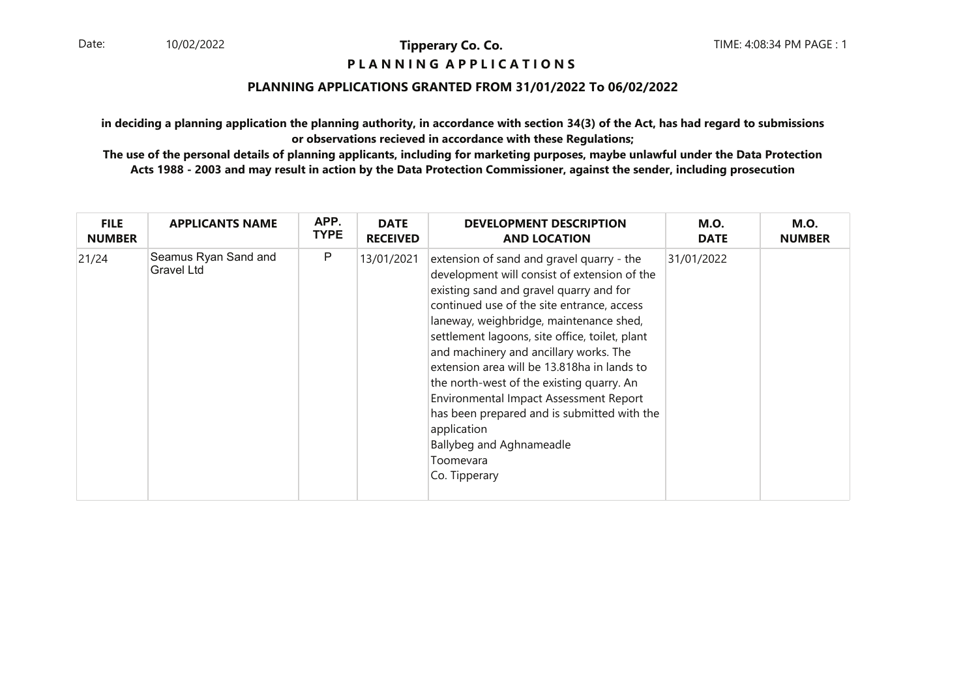#### **P L A N N I N G A P P L I C A T I O N S**

#### **PLANNING APPLICATIONS GRANTED FROM 31/01/2022 To 06/02/2022**

**in deciding a planning application the planning authority, in accordance with section 34(3) of the Act, has had regard to submissionsor observations recieved in accordance with these Regulations;**

| <b>FILE</b>   | <b>APPLICANTS NAME</b>                    | APP. | <b>DATE</b>     | <b>DEVELOPMENT DESCRIPTION</b>                                                                                                                                                                                                                                                                                                                                                                                                                                                                                                                                                          | <b>M.O.</b> | <b>M.O.</b>   |
|---------------|-------------------------------------------|------|-----------------|-----------------------------------------------------------------------------------------------------------------------------------------------------------------------------------------------------------------------------------------------------------------------------------------------------------------------------------------------------------------------------------------------------------------------------------------------------------------------------------------------------------------------------------------------------------------------------------------|-------------|---------------|
| <b>NUMBER</b> |                                           | TYPE | <b>RECEIVED</b> | <b>AND LOCATION</b>                                                                                                                                                                                                                                                                                                                                                                                                                                                                                                                                                                     | <b>DATE</b> | <b>NUMBER</b> |
| 21/24         | Seamus Ryan Sand and<br><b>Gravel Ltd</b> | P    | 13/01/2021      | extension of sand and gravel quarry - the<br>development will consist of extension of the<br>existing sand and gravel quarry and for<br>continued use of the site entrance, access<br>laneway, weighbridge, maintenance shed,<br>settlement lagoons, site office, toilet, plant<br>and machinery and ancillary works. The<br>extension area will be 13.818ha in lands to<br>the north-west of the existing quarry. An<br>Environmental Impact Assessment Report<br>has been prepared and is submitted with the<br>application<br>Ballybeg and Aghnameadle<br>Toomevara<br>Co. Tipperary | 31/01/2022  |               |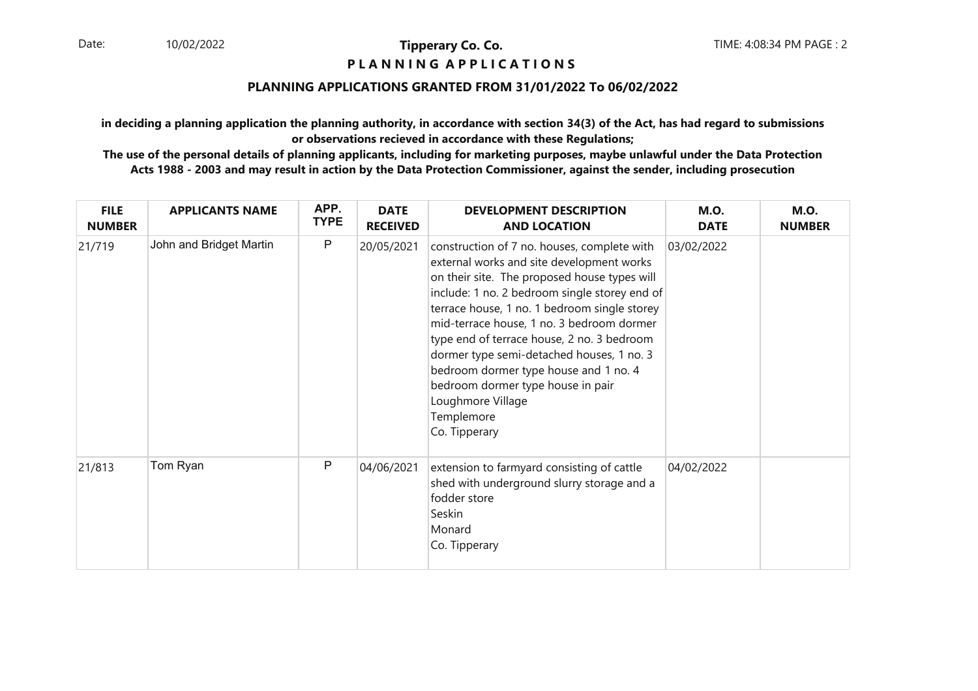## **P L A N N I N G A P P L I C A T I O N S**

#### **PLANNING APPLICATIONS GRANTED FROM 31/01/2022 To 06/02/2022**

**in deciding a planning application the planning authority, in accordance with section 34(3) of the Act, has had regard to submissionsor observations recieved in accordance with these Regulations;**

| <b>FILE</b><br><b>NUMBER</b> | <b>APPLICANTS NAME</b>  | APP.<br><b>TYPE</b> | <b>DATE</b><br><b>RECEIVED</b> | <b>DEVELOPMENT DESCRIPTION</b><br><b>AND LOCATION</b>                                                                                                                                                                                                                                                                                                                                                                                                                                                               | <b>M.O.</b><br><b>DATE</b> | <b>M.O.</b><br><b>NUMBER</b> |
|------------------------------|-------------------------|---------------------|--------------------------------|---------------------------------------------------------------------------------------------------------------------------------------------------------------------------------------------------------------------------------------------------------------------------------------------------------------------------------------------------------------------------------------------------------------------------------------------------------------------------------------------------------------------|----------------------------|------------------------------|
| 21/719                       | John and Bridget Martin | $\mathsf{P}$        | 20/05/2021                     | construction of 7 no. houses, complete with<br>external works and site development works<br>on their site. The proposed house types will<br>include: 1 no. 2 bedroom single storey end of<br>terrace house, 1 no. 1 bedroom single storey<br>mid-terrace house, 1 no. 3 bedroom dormer<br>type end of terrace house, 2 no. 3 bedroom<br>dormer type semi-detached houses, 1 no. 3<br>bedroom dormer type house and 1 no. 4<br>bedroom dormer type house in pair<br>Loughmore Village<br>Templemore<br>Co. Tipperary | 03/02/2022                 |                              |
| 21/813                       | Tom Ryan                | P                   | 04/06/2021                     | extension to farmyard consisting of cattle<br>shed with underground slurry storage and a<br>fodder store<br>Seskin<br>Monard<br>Co. Tipperary                                                                                                                                                                                                                                                                                                                                                                       | 04/02/2022                 |                              |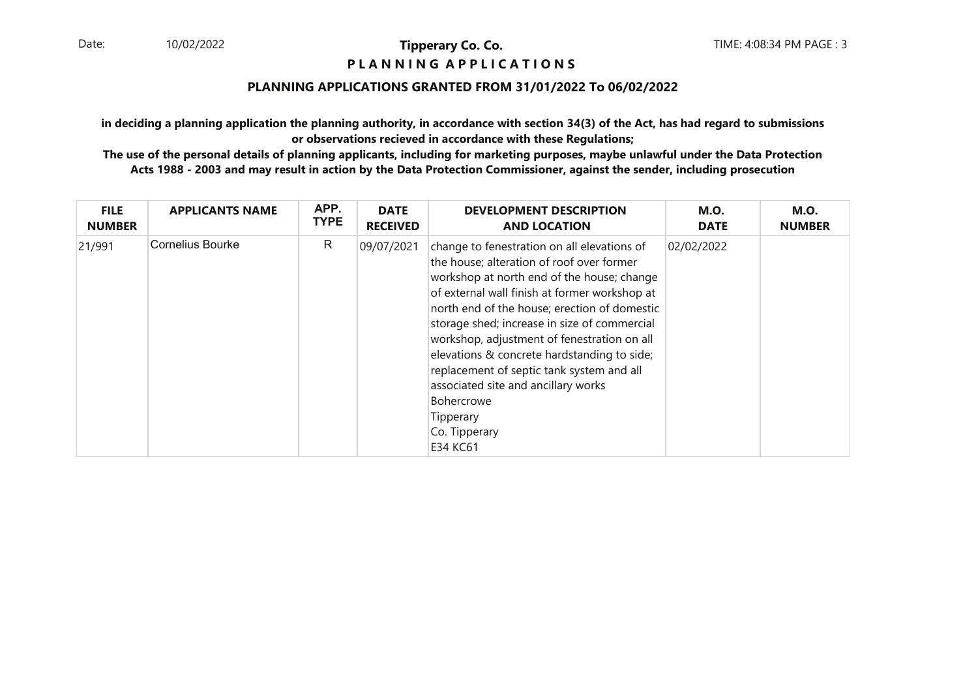## **P L A N N I N G A P P L I C A T I O N S**

#### **PLANNING APPLICATIONS GRANTED FROM 31/01/2022 To 06/02/2022**

**in deciding a planning application the planning authority, in accordance with section 34(3) of the Act, has had regard to submissionsor observations recieved in accordance with these Regulations;**

| <b>FILE</b>   | <b>APPLICANTS NAME</b> | APP.        | <b>DATE</b>     | <b>DEVELOPMENT DESCRIPTION</b>                                                                                                                                                                                                                                                                                                                                                                                                                                                                                                           | <b>M.O.</b> | <b>M.O.</b>   |
|---------------|------------------------|-------------|-----------------|------------------------------------------------------------------------------------------------------------------------------------------------------------------------------------------------------------------------------------------------------------------------------------------------------------------------------------------------------------------------------------------------------------------------------------------------------------------------------------------------------------------------------------------|-------------|---------------|
| <b>NUMBER</b> |                        | <b>TYPE</b> | <b>RECEIVED</b> | <b>AND LOCATION</b>                                                                                                                                                                                                                                                                                                                                                                                                                                                                                                                      | <b>DATE</b> | <b>NUMBER</b> |
| 21/991        | Cornelius Bourke       | R           | 09/07/2021      | change to fenestration on all elevations of<br>the house; alteration of roof over former<br>workshop at north end of the house; change<br>of external wall finish at former workshop at<br>north end of the house; erection of domestic<br>storage shed; increase in size of commercial<br>workshop, adjustment of fenestration on all<br>elevations & concrete hardstanding to side;<br>replacement of septic tank system and all<br>associated site and ancillary works<br>Bohercrowe<br>Tipperary<br>Co. Tipperary<br><b>E34 KC61</b> | 02/02/2022  |               |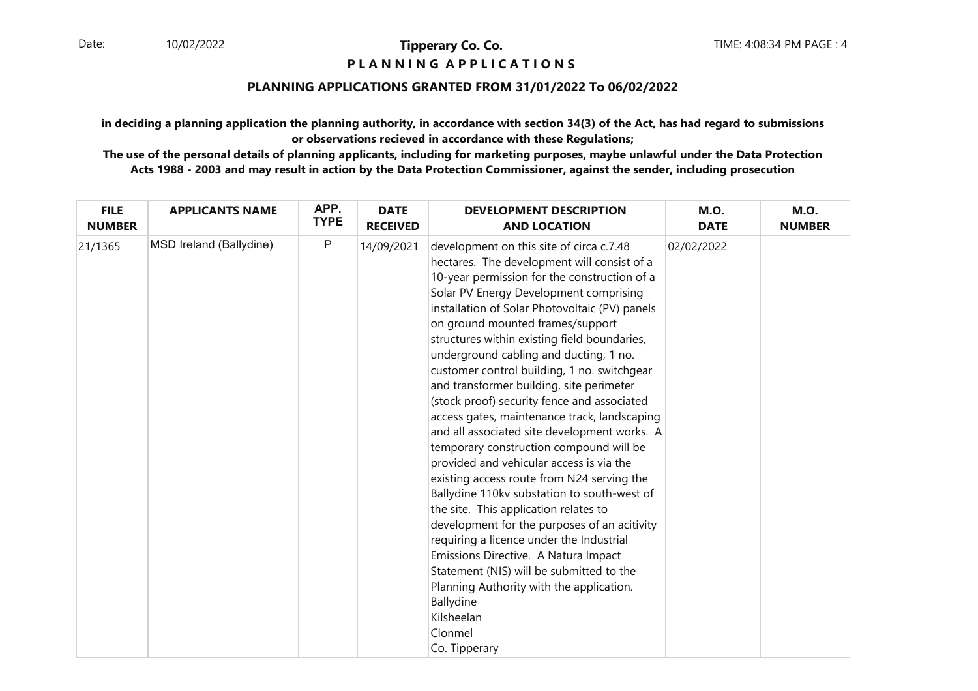## **P L A N N I N G A P P L I C A T I O N S**

## **PLANNING APPLICATIONS GRANTED FROM 31/01/2022 To 06/02/2022**

**in deciding a planning application the planning authority, in accordance with section 34(3) of the Act, has had regard to submissionsor observations recieved in accordance with these Regulations;**

| <b>FILE</b>   | <b>APPLICANTS NAME</b>  | APP.        | <b>DATE</b>     | <b>DEVELOPMENT DESCRIPTION</b>                                                                                                                                                                                                                                                                                                                                                                                                                                                                                                                                                                                                                                                                                                                                                                                                                                                                                                                                                                                                                                                                                              | <b>M.O.</b> | <b>M.O.</b>   |
|---------------|-------------------------|-------------|-----------------|-----------------------------------------------------------------------------------------------------------------------------------------------------------------------------------------------------------------------------------------------------------------------------------------------------------------------------------------------------------------------------------------------------------------------------------------------------------------------------------------------------------------------------------------------------------------------------------------------------------------------------------------------------------------------------------------------------------------------------------------------------------------------------------------------------------------------------------------------------------------------------------------------------------------------------------------------------------------------------------------------------------------------------------------------------------------------------------------------------------------------------|-------------|---------------|
| <b>NUMBER</b> |                         | <b>TYPE</b> | <b>RECEIVED</b> | <b>AND LOCATION</b>                                                                                                                                                                                                                                                                                                                                                                                                                                                                                                                                                                                                                                                                                                                                                                                                                                                                                                                                                                                                                                                                                                         | <b>DATE</b> | <b>NUMBER</b> |
| 21/1365       | MSD Ireland (Ballydine) | P           | 14/09/2021      | development on this site of circa c.7.48<br>hectares. The development will consist of a<br>10-year permission for the construction of a<br>Solar PV Energy Development comprising<br>installation of Solar Photovoltaic (PV) panels<br>on ground mounted frames/support<br>structures within existing field boundaries,<br>underground cabling and ducting, 1 no.<br>customer control building, 1 no. switchgear<br>and transformer building, site perimeter<br>(stock proof) security fence and associated<br>access gates, maintenance track, landscaping<br>and all associated site development works. A<br>temporary construction compound will be<br>provided and vehicular access is via the<br>existing access route from N24 serving the<br>Ballydine 110kv substation to south-west of<br>the site. This application relates to<br>development for the purposes of an acitivity<br>requiring a licence under the Industrial<br>Emissions Directive. A Natura Impact<br>Statement (NIS) will be submitted to the<br>Planning Authority with the application.<br>Ballydine<br>Kilsheelan<br>Clonmel<br>Co. Tipperary | 02/02/2022  |               |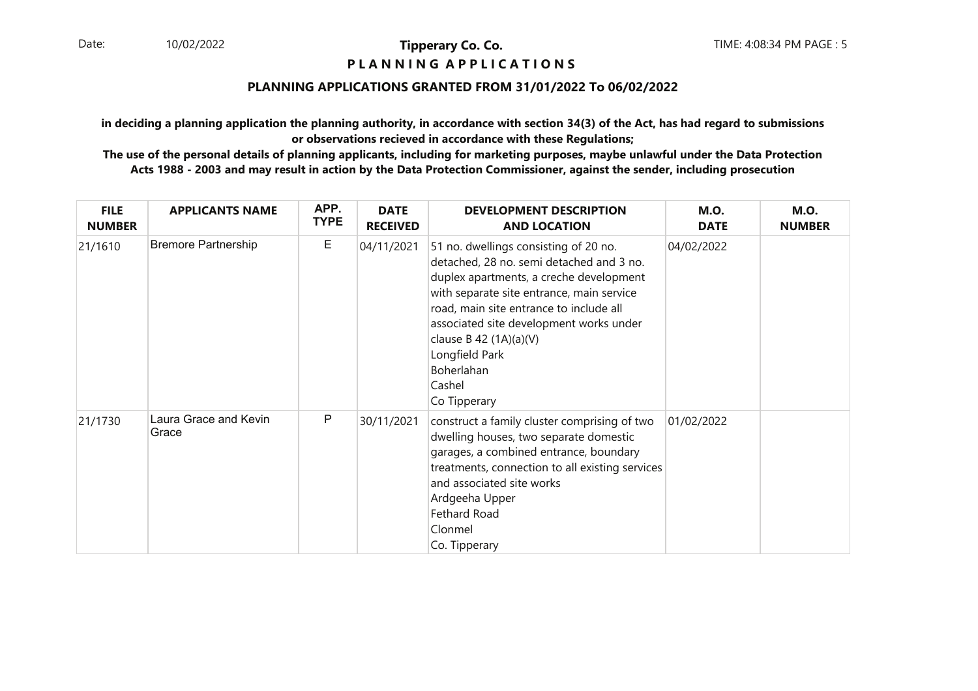## **P L A N N I N G A P P L I C A T I O N S**

#### **PLANNING APPLICATIONS GRANTED FROM 31/01/2022 To 06/02/2022**

**in deciding a planning application the planning authority, in accordance with section 34(3) of the Act, has had regard to submissionsor observations recieved in accordance with these Regulations;**

| <b>FILE</b><br><b>NUMBER</b> | <b>APPLICANTS NAME</b>         | APP.<br><b>TYPE</b> | <b>DATE</b><br><b>RECEIVED</b> | <b>DEVELOPMENT DESCRIPTION</b><br><b>AND LOCATION</b>                                                                                                                                                                                                                                                                                                 | <b>M.O.</b><br><b>DATE</b> | <b>M.O.</b><br><b>NUMBER</b> |
|------------------------------|--------------------------------|---------------------|--------------------------------|-------------------------------------------------------------------------------------------------------------------------------------------------------------------------------------------------------------------------------------------------------------------------------------------------------------------------------------------------------|----------------------------|------------------------------|
| 21/1610                      | <b>Bremore Partnership</b>     | Е                   | 04/11/2021                     | 51 no. dwellings consisting of 20 no.<br>detached, 28 no. semi detached and 3 no.<br>duplex apartments, a creche development<br>with separate site entrance, main service<br>road, main site entrance to include all<br>associated site development works under<br>clause B 42 $(1A)(a)(V)$<br>Longfield Park<br>Boherlahan<br>Cashel<br>Co Tipperary | 04/02/2022                 |                              |
| 21/1730                      | Laura Grace and Kevin<br>Grace | P                   | 30/11/2021                     | construct a family cluster comprising of two<br>dwelling houses, two separate domestic<br>garages, a combined entrance, boundary<br>treatments, connection to all existing services<br>and associated site works<br>Ardgeeha Upper<br>Fethard Road<br>Clonmel<br>Co. Tipperary                                                                        | 01/02/2022                 |                              |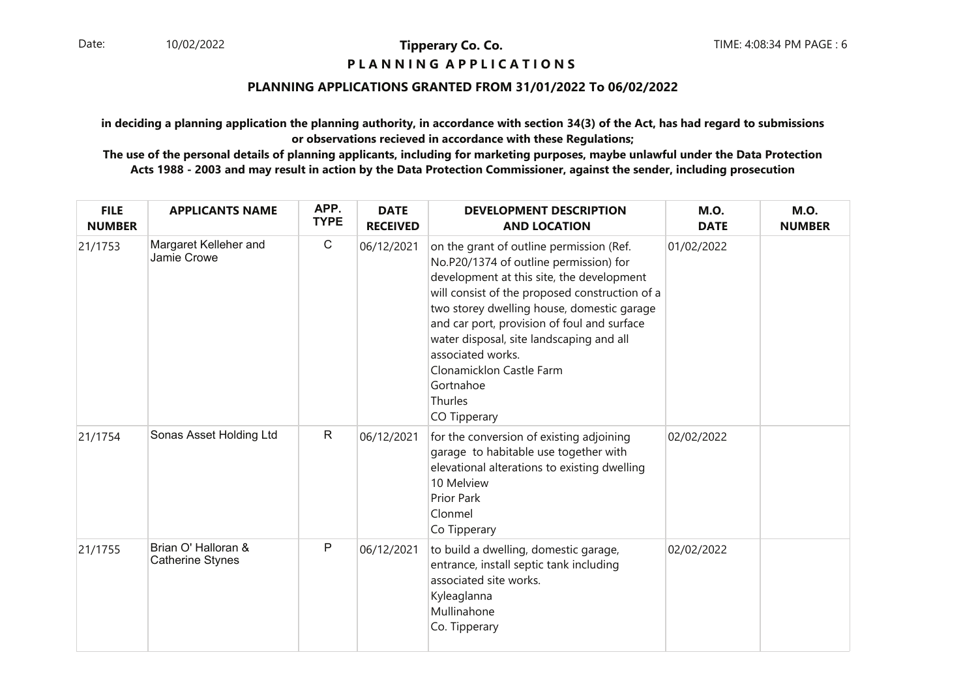## **P L A N N I N G A P P L I C A T I O N S**

#### **PLANNING APPLICATIONS GRANTED FROM 31/01/2022 To 06/02/2022**

**in deciding a planning application the planning authority, in accordance with section 34(3) of the Act, has had regard to submissionsor observations recieved in accordance with these Regulations;**

| <b>FILE</b><br><b>NUMBER</b> | <b>APPLICANTS NAME</b>                         | APP.<br><b>TYPE</b> | <b>DATE</b><br><b>RECEIVED</b> | <b>DEVELOPMENT DESCRIPTION</b><br><b>AND LOCATION</b>                                                                                                                                                                                                                                                                                                                                                                      | <b>M.O.</b><br><b>DATE</b> | <b>M.O.</b><br><b>NUMBER</b> |
|------------------------------|------------------------------------------------|---------------------|--------------------------------|----------------------------------------------------------------------------------------------------------------------------------------------------------------------------------------------------------------------------------------------------------------------------------------------------------------------------------------------------------------------------------------------------------------------------|----------------------------|------------------------------|
| 21/1753                      | Margaret Kelleher and<br>Jamie Crowe           | $\mathsf C$         | 06/12/2021                     | on the grant of outline permission (Ref.<br>No.P20/1374 of outline permission) for<br>development at this site, the development<br>will consist of the proposed construction of a<br>two storey dwelling house, domestic garage<br>and car port, provision of foul and surface<br>water disposal, site landscaping and all<br>associated works.<br>Clonamicklon Castle Farm<br>Gortnahoe<br><b>Thurles</b><br>CO Tipperary | 01/02/2022                 |                              |
| 21/1754                      | Sonas Asset Holding Ltd                        | $\mathsf{R}$        | 06/12/2021                     | for the conversion of existing adjoining<br>garage to habitable use together with<br>elevational alterations to existing dwelling<br>10 Melview<br><b>Prior Park</b><br>Clonmel<br>Co Tipperary                                                                                                                                                                                                                            | 02/02/2022                 |                              |
| 21/1755                      | Brian O' Halloran &<br><b>Catherine Stynes</b> | P                   | 06/12/2021                     | to build a dwelling, domestic garage,<br>entrance, install septic tank including<br>associated site works.<br>Kyleaglanna<br>Mullinahone<br>Co. Tipperary                                                                                                                                                                                                                                                                  | 02/02/2022                 |                              |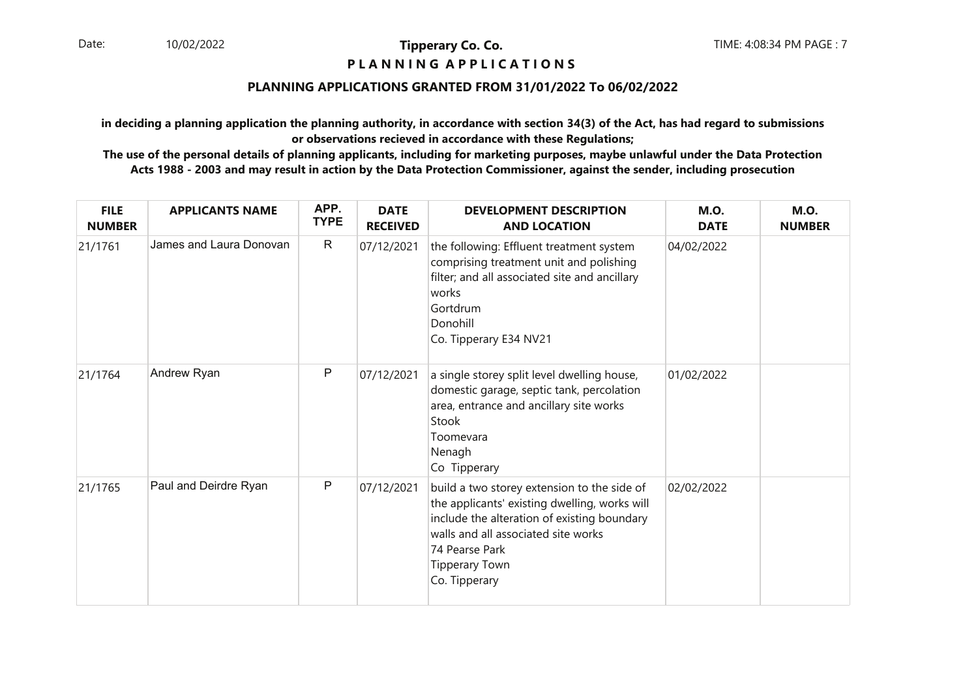## **P L A N N I N G A P P L I C A T I O N S**

#### **PLANNING APPLICATIONS GRANTED FROM 31/01/2022 To 06/02/2022**

**in deciding a planning application the planning authority, in accordance with section 34(3) of the Act, has had regard to submissionsor observations recieved in accordance with these Regulations;**

| <b>FILE</b><br><b>NUMBER</b> | <b>APPLICANTS NAME</b>  | APP.<br><b>TYPE</b> | <b>DATE</b><br><b>RECEIVED</b> | <b>DEVELOPMENT DESCRIPTION</b><br><b>AND LOCATION</b>                                                                                                                                                                                          | <b>M.O.</b><br><b>DATE</b> | <b>M.O.</b><br><b>NUMBER</b> |
|------------------------------|-------------------------|---------------------|--------------------------------|------------------------------------------------------------------------------------------------------------------------------------------------------------------------------------------------------------------------------------------------|----------------------------|------------------------------|
| 21/1761                      | James and Laura Donovan | $\mathsf{R}$        | 07/12/2021                     | the following: Effluent treatment system<br>comprising treatment unit and polishing<br>filter; and all associated site and ancillary<br>works<br>Gortdrum<br>Donohill<br>Co. Tipperary E34 NV21                                                | 04/02/2022                 |                              |
| 21/1764                      | Andrew Ryan             | P                   | 07/12/2021                     | a single storey split level dwelling house,<br>domestic garage, septic tank, percolation<br>area, entrance and ancillary site works<br>Stook<br>Toomevara<br>Nenagh<br>Co Tipperary                                                            | 01/02/2022                 |                              |
| 21/1765                      | Paul and Deirdre Ryan   | P                   | 07/12/2021                     | build a two storey extension to the side of<br>the applicants' existing dwelling, works will<br>include the alteration of existing boundary<br>walls and all associated site works<br>74 Pearse Park<br><b>Tipperary Town</b><br>Co. Tipperary | 02/02/2022                 |                              |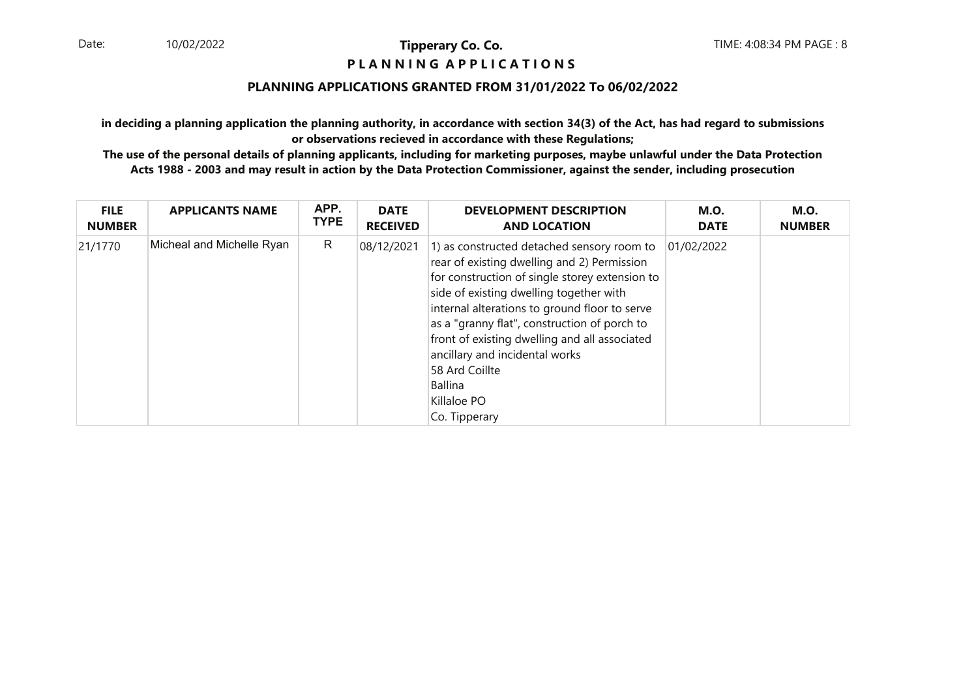## **P L A N N I N G A P P L I C A T I O N S**

#### **PLANNING APPLICATIONS GRANTED FROM 31/01/2022 To 06/02/2022**

**in deciding a planning application the planning authority, in accordance with section 34(3) of the Act, has had regard to submissionsor observations recieved in accordance with these Regulations;**

| <b>FILE</b>   | <b>APPLICANTS NAME</b>    | APP.        | <b>DATE</b>     | <b>DEVELOPMENT DESCRIPTION</b>                                                                                                                                                                                                                                                                                                                                                                                                                 | <b>M.O.</b> | <b>M.O.</b>   |
|---------------|---------------------------|-------------|-----------------|------------------------------------------------------------------------------------------------------------------------------------------------------------------------------------------------------------------------------------------------------------------------------------------------------------------------------------------------------------------------------------------------------------------------------------------------|-------------|---------------|
| <b>NUMBER</b> |                           | <b>TYPE</b> | <b>RECEIVED</b> | <b>AND LOCATION</b>                                                                                                                                                                                                                                                                                                                                                                                                                            | <b>DATE</b> | <b>NUMBER</b> |
| 21/1770       | Micheal and Michelle Ryan | R           | 08/12/2021      | 1) as constructed detached sensory room to<br>rear of existing dwelling and 2) Permission<br>for construction of single storey extension to<br>side of existing dwelling together with<br>internal alterations to ground floor to serve<br>as a "granny flat", construction of porch to<br>front of existing dwelling and all associated<br>ancillary and incidental works<br>58 Ard Coillte<br><b>Ballina</b><br>Killaloe PO<br>Co. Tipperary | 01/02/2022  |               |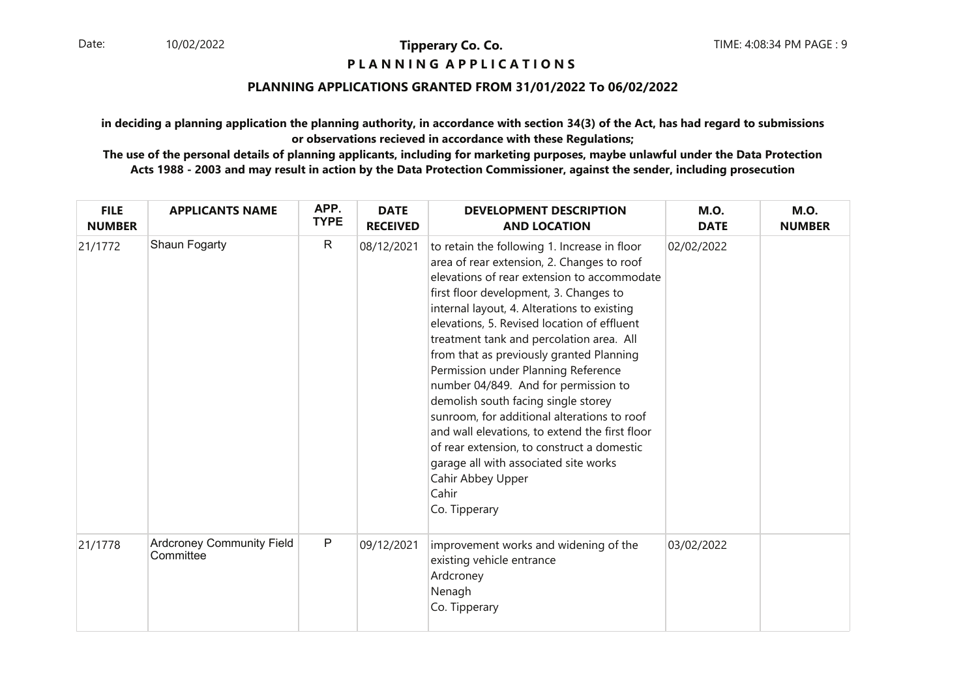## **P L A N N I N G A P P L I C A T I O N S**

## **PLANNING APPLICATIONS GRANTED FROM 31/01/2022 To 06/02/2022**

**in deciding a planning application the planning authority, in accordance with section 34(3) of the Act, has had regard to submissionsor observations recieved in accordance with these Regulations;**

| <b>FILE</b><br><b>NUMBER</b> | <b>APPLICANTS NAME</b>                        | APP.<br><b>TYPE</b> | <b>DATE</b><br><b>RECEIVED</b> | <b>DEVELOPMENT DESCRIPTION</b><br><b>AND LOCATION</b>                                                                                                                                                                                                                                                                                                                                                                                                                                                                                                                                                                                                                                                                                  | <b>M.O.</b><br><b>DATE</b> | <b>M.O.</b><br><b>NUMBER</b> |
|------------------------------|-----------------------------------------------|---------------------|--------------------------------|----------------------------------------------------------------------------------------------------------------------------------------------------------------------------------------------------------------------------------------------------------------------------------------------------------------------------------------------------------------------------------------------------------------------------------------------------------------------------------------------------------------------------------------------------------------------------------------------------------------------------------------------------------------------------------------------------------------------------------------|----------------------------|------------------------------|
| 21/1772                      | Shaun Fogarty                                 | $\mathsf{R}$        | 08/12/2021                     | to retain the following 1. Increase in floor<br>area of rear extension, 2. Changes to roof<br>elevations of rear extension to accommodate<br>first floor development, 3. Changes to<br>internal layout, 4. Alterations to existing<br>elevations, 5. Revised location of effluent<br>treatment tank and percolation area. All<br>from that as previously granted Planning<br>Permission under Planning Reference<br>number 04/849. And for permission to<br>demolish south facing single storey<br>sunroom, for additional alterations to roof<br>and wall elevations, to extend the first floor<br>of rear extension, to construct a domestic<br>garage all with associated site works<br>Cahir Abbey Upper<br>Cahir<br>Co. Tipperary | 02/02/2022                 |                              |
| 21/1778                      | <b>Ardcroney Community Field</b><br>Committee | ${\sf P}$           | 09/12/2021                     | improvement works and widening of the<br>existing vehicle entrance<br>Ardcroney<br>Nenagh<br>Co. Tipperary                                                                                                                                                                                                                                                                                                                                                                                                                                                                                                                                                                                                                             | 03/02/2022                 |                              |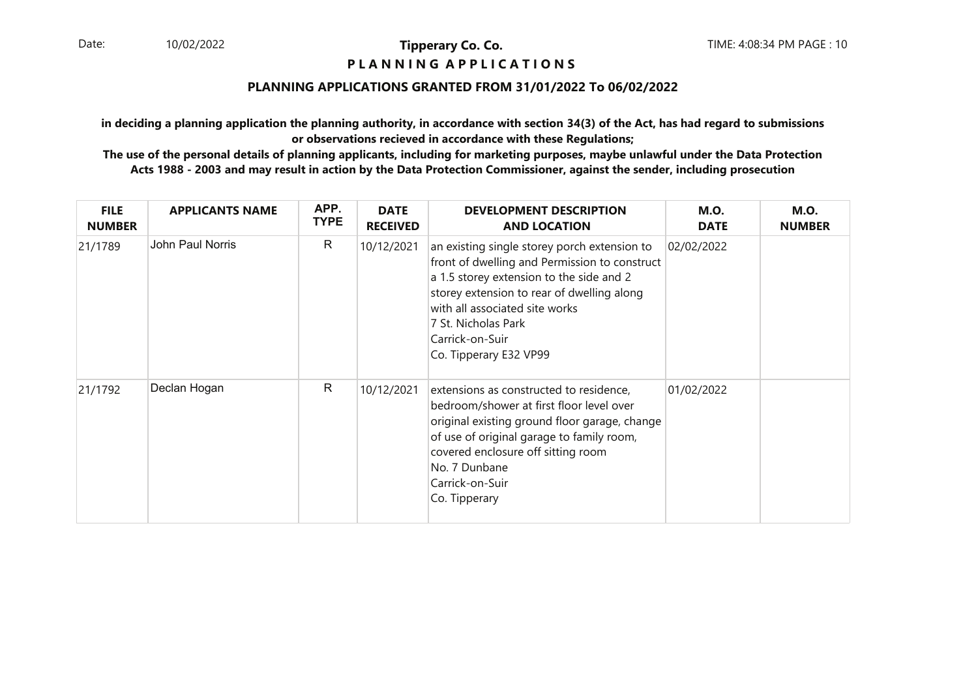## **P L A N N I N G A P P L I C A T I O N S**

#### **PLANNING APPLICATIONS GRANTED FROM 31/01/2022 To 06/02/2022**

**in deciding a planning application the planning authority, in accordance with section 34(3) of the Act, has had regard to submissionsor observations recieved in accordance with these Regulations;**

| <b>FILE</b><br><b>NUMBER</b> | <b>APPLICANTS NAME</b> | APP.<br><b>TYPE</b> | <b>DATE</b><br><b>RECEIVED</b> | <b>DEVELOPMENT DESCRIPTION</b><br><b>AND LOCATION</b>                                                                                                                                                                                                                                         | <b>M.O.</b><br><b>DATE</b> | <b>M.O.</b><br><b>NUMBER</b> |
|------------------------------|------------------------|---------------------|--------------------------------|-----------------------------------------------------------------------------------------------------------------------------------------------------------------------------------------------------------------------------------------------------------------------------------------------|----------------------------|------------------------------|
| 21/1789                      | John Paul Norris       | R                   | 10/12/2021                     | an existing single storey porch extension to<br>front of dwelling and Permission to construct<br>a 1.5 storey extension to the side and 2<br>storey extension to rear of dwelling along<br>with all associated site works<br>7 St. Nicholas Park<br>Carrick-on-Suir<br>Co. Tipperary E32 VP99 | 02/02/2022                 |                              |
| 21/1792                      | Declan Hogan           | R                   | 10/12/2021                     | extensions as constructed to residence,<br>bedroom/shower at first floor level over<br>original existing ground floor garage, change<br>of use of original garage to family room,<br>covered enclosure off sitting room<br>No. 7 Dunbane<br>Carrick-on-Suir<br>Co. Tipperary                  | 01/02/2022                 |                              |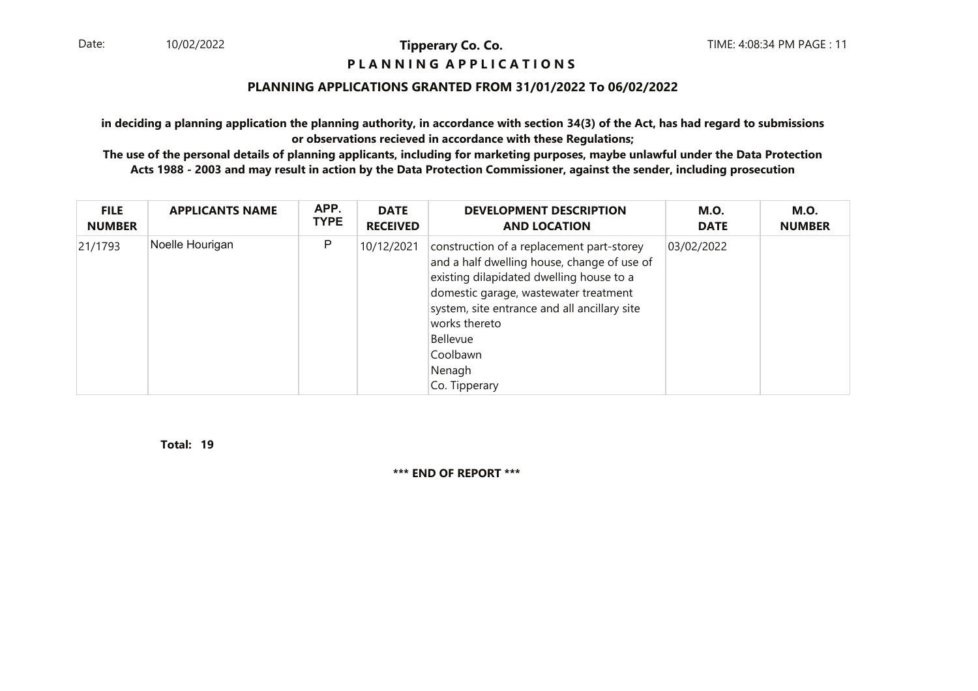## **P L A N N I N G A P P L I C A T I O N S**

## **PLANNING APPLICATIONS GRANTED FROM 31/01/2022 To 06/02/2022**

**in deciding a planning application the planning authority, in accordance with section 34(3) of the Act, has had regard to submissionsor observations recieved in accordance with these Regulations;**

 **The use of the personal details of planning applicants, including for marketing purposes, maybe unlawful under the Data ProtectionActs 1988 - 2003 and may result in action by the Data Protection Commissioner, against the sender, including prosecution**

| <b>FILE</b>   | <b>APPLICANTS NAME</b> | APP.        | <b>DATE</b>     | <b>DEVELOPMENT DESCRIPTION</b>                                                                                                                                                                                                                                                                    | <b>M.O.</b> | <b>M.O.</b>   |
|---------------|------------------------|-------------|-----------------|---------------------------------------------------------------------------------------------------------------------------------------------------------------------------------------------------------------------------------------------------------------------------------------------------|-------------|---------------|
| <b>NUMBER</b> |                        | <b>TYPE</b> | <b>RECEIVED</b> | <b>AND LOCATION</b>                                                                                                                                                                                                                                                                               | <b>DATE</b> | <b>NUMBER</b> |
| 21/1793       | Noelle Hourigan        | Ρ           | 10/12/2021      | construction of a replacement part-storey<br>and a half dwelling house, change of use of<br>existing dilapidated dwelling house to a<br>domestic garage, wastewater treatment<br>system, site entrance and all ancillary site<br>works thereto<br>Bellevue<br>Coolbawn<br>Nenagh<br>Co. Tipperary | 03/02/2022  |               |

**19Total:**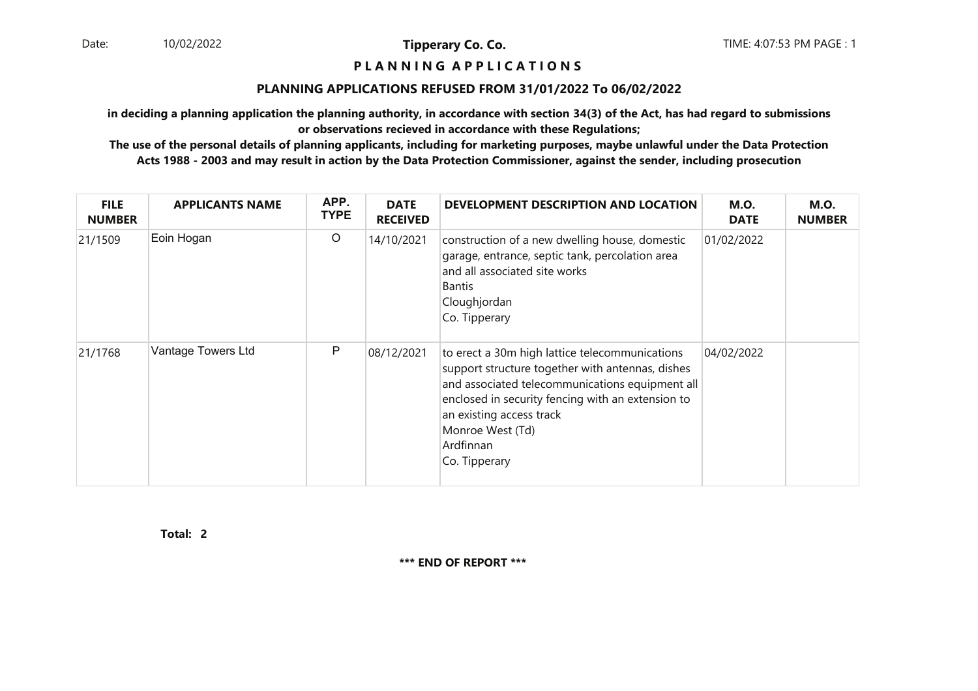#### **P L A N N I N G A P P L I C A T I O N S**

#### **PLANNING APPLICATIONS REFUSED FROM 31/01/2022 To 06/02/2022**

**in deciding a planning application the planning authority, in accordance with section 34(3) of the Act, has had regard to submissionsor observations recieved in accordance with these Regulations;**

 **The use of the personal details of planning applicants, including for marketing purposes, maybe unlawful under the Data ProtectionActs 1988 - 2003 and may result in action by the Data Protection Commissioner, against the sender, including prosecution**

| <b>FILE</b><br><b>NUMBER</b> | <b>APPLICANTS NAME</b> | APP.<br><b>TYPE</b> | <b>DATE</b><br><b>RECEIVED</b> | DEVELOPMENT DESCRIPTION AND LOCATION                                                                                                                                                                                                                                                     | <b>M.O.</b><br><b>DATE</b> | <b>M.O.</b><br><b>NUMBER</b> |
|------------------------------|------------------------|---------------------|--------------------------------|------------------------------------------------------------------------------------------------------------------------------------------------------------------------------------------------------------------------------------------------------------------------------------------|----------------------------|------------------------------|
| 21/1509                      | Eoin Hogan             | O                   | 14/10/2021                     | construction of a new dwelling house, domestic<br>garage, entrance, septic tank, percolation area<br>and all associated site works<br> Bantis <br>Cloughjordan<br>Co. Tipperary                                                                                                          | 01/02/2022                 |                              |
| 21/1768                      | Vantage Towers Ltd     | P                   | 08/12/2021                     | to erect a 30m high lattice telecommunications<br>support structure together with antennas, dishes<br>and associated telecommunications equipment all<br>enclosed in security fencing with an extension to<br>an existing access track<br>Monroe West (Td)<br>Ardfinnan<br>Co. Tipperary | 04/02/2022                 |                              |

**2Total:**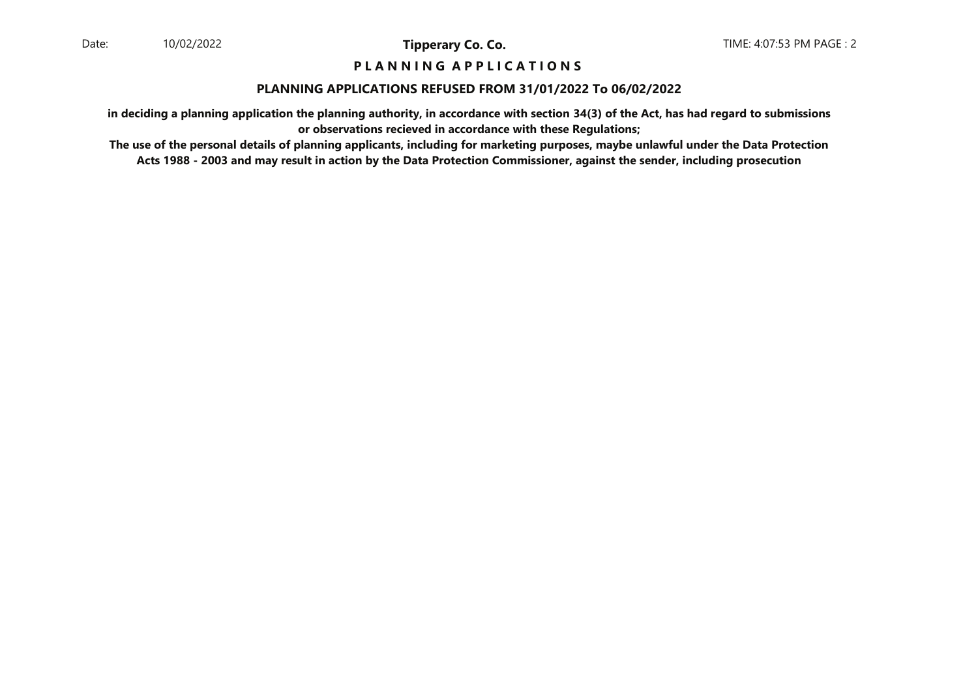## **P L A N N I N G A P P L I C A T I O N S**

#### **PLANNING APPLICATIONS REFUSED FROM 31/01/2022 To 06/02/2022**

**in deciding a planning application the planning authority, in accordance with section 34(3) of the Act, has had regard to submissionsor observations recieved in accordance with these Regulations;**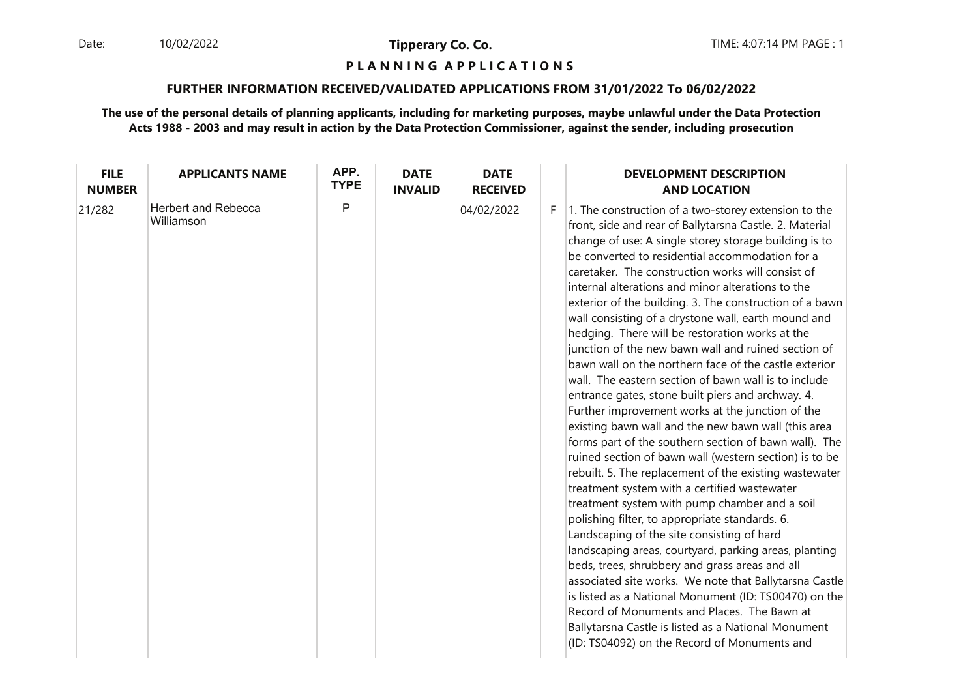Date: 10/02/2022 **Tipperary Co. Co. The Co. Co.** TIME: 4:07:14 PM PAGE : 1 10/02/2022

**Tipperary Co. Co.**

## **P L A N N I N G A P P L I C A T I O N S**

#### **FURTHER INFORMATION RECEIVED/VALIDATED APPLICATIONS FROM 31/01/2022 To 06/02/2022**

| <b>FILE</b><br><b>NUMBER</b> | <b>APPLICANTS NAME</b>                   | APP.<br><b>TYPE</b> | <b>DATE</b><br><b>INVALID</b> | <b>DATE</b><br><b>RECEIVED</b> |    | <b>DEVELOPMENT DESCRIPTION</b><br><b>AND LOCATION</b>                                                                                                                                                                                                                                                                                                                                                                                                                                                                                                                                                                                                                                                                                                                                                                                                                                                                                                                                                                                                                                                                                                                                                                                                                                                                                                                                                                                                                                                                                                                                                                |
|------------------------------|------------------------------------------|---------------------|-------------------------------|--------------------------------|----|----------------------------------------------------------------------------------------------------------------------------------------------------------------------------------------------------------------------------------------------------------------------------------------------------------------------------------------------------------------------------------------------------------------------------------------------------------------------------------------------------------------------------------------------------------------------------------------------------------------------------------------------------------------------------------------------------------------------------------------------------------------------------------------------------------------------------------------------------------------------------------------------------------------------------------------------------------------------------------------------------------------------------------------------------------------------------------------------------------------------------------------------------------------------------------------------------------------------------------------------------------------------------------------------------------------------------------------------------------------------------------------------------------------------------------------------------------------------------------------------------------------------------------------------------------------------------------------------------------------------|
| 21/282                       | <b>Herbert and Rebecca</b><br>Williamson | P                   |                               | 04/02/2022                     | F. | 1. The construction of a two-storey extension to the<br>front, side and rear of Ballytarsna Castle. 2. Material<br>change of use: A single storey storage building is to<br>be converted to residential accommodation for a<br>caretaker. The construction works will consist of<br>internal alterations and minor alterations to the<br>exterior of the building. 3. The construction of a bawn<br>wall consisting of a drystone wall, earth mound and<br>hedging. There will be restoration works at the<br>junction of the new bawn wall and ruined section of<br>bawn wall on the northern face of the castle exterior<br>wall. The eastern section of bawn wall is to include<br>entrance gates, stone built piers and archway. 4.<br>Further improvement works at the junction of the<br>existing bawn wall and the new bawn wall (this area<br>forms part of the southern section of bawn wall). The<br>ruined section of bawn wall (western section) is to be<br>rebuilt. 5. The replacement of the existing wastewater<br>treatment system with a certified wastewater<br>treatment system with pump chamber and a soil<br>polishing filter, to appropriate standards. 6.<br>Landscaping of the site consisting of hard<br>landscaping areas, courtyard, parking areas, planting<br>beds, trees, shrubbery and grass areas and all<br>associated site works. We note that Ballytarsna Castle<br>is listed as a National Monument (ID: TS00470) on the<br>Record of Monuments and Places. The Bawn at<br>Ballytarsna Castle is listed as a National Monument<br>(ID: TS04092) on the Record of Monuments and |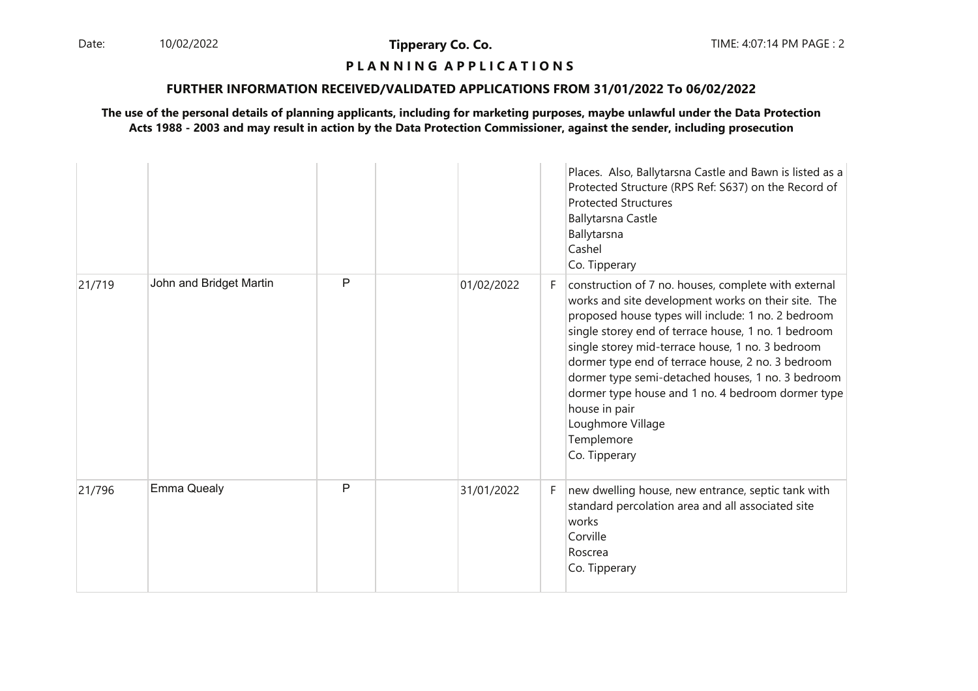Date: 10/02/2022 **Tipperary Co. Co. Co.** The TIME: 4:07:14 PM PAGE : 2 10/02/2022

**Tipperary Co. Co.**

## **P L A N N I N G A P P L I C A T I O N S**

#### **FURTHER INFORMATION RECEIVED/VALIDATED APPLICATIONS FROM 31/01/2022 To 06/02/2022**

|        |                         |   |            |    | Places. Also, Ballytarsna Castle and Bawn is listed as a<br>Protected Structure (RPS Ref: S637) on the Record of<br><b>Protected Structures</b><br><b>Ballytarsna Castle</b><br>Ballytarsna<br>Cashel<br>Co. Tipperary                                                                                                                                                                                                                                                                                           |
|--------|-------------------------|---|------------|----|------------------------------------------------------------------------------------------------------------------------------------------------------------------------------------------------------------------------------------------------------------------------------------------------------------------------------------------------------------------------------------------------------------------------------------------------------------------------------------------------------------------|
| 21/719 | John and Bridget Martin | P | 01/02/2022 | F. | construction of 7 no. houses, complete with external<br>works and site development works on their site. The<br>proposed house types will include: 1 no. 2 bedroom<br>single storey end of terrace house, 1 no. 1 bedroom<br>single storey mid-terrace house, 1 no. 3 bedroom<br>dormer type end of terrace house, 2 no. 3 bedroom<br>dormer type semi-detached houses, 1 no. 3 bedroom<br>dormer type house and 1 no. 4 bedroom dormer type<br>house in pair<br>Loughmore Village<br>Templemore<br>Co. Tipperary |
| 21/796 | <b>Emma Quealy</b>      | P | 31/01/2022 | F. | new dwelling house, new entrance, septic tank with<br>standard percolation area and all associated site<br>works<br>Corville<br>Roscrea<br>Co. Tipperary                                                                                                                                                                                                                                                                                                                                                         |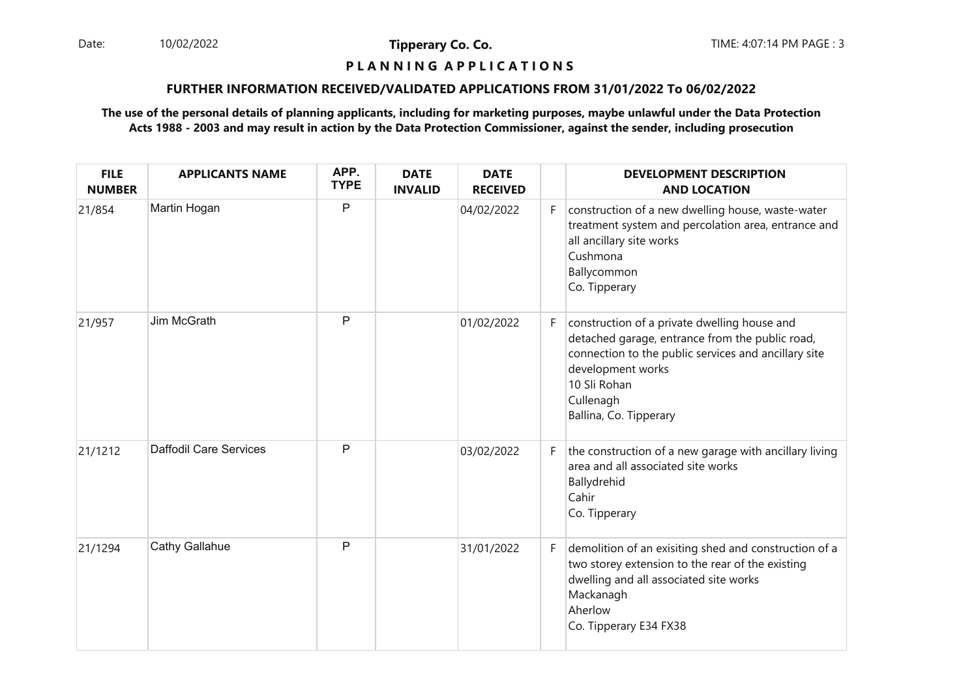Date: 10/02/2022 **Tipperary Co. Co. The Co. Co.** TIME: 4:07:14 PM PAGE : 3 10/02/2022

**Tipperary Co. Co.**

## **P L A N N I N G A P P L I C A T I O N S**

#### **FURTHER INFORMATION RECEIVED/VALIDATED APPLICATIONS FROM 31/01/2022 To 06/02/2022**

| <b>FILE</b><br><b>NUMBER</b> | <b>APPLICANTS NAME</b> | APP.<br><b>TYPE</b> | <b>DATE</b><br><b>INVALID</b> | <b>DATE</b><br><b>RECEIVED</b> |    | <b>DEVELOPMENT DESCRIPTION</b><br><b>AND LOCATION</b>                                                                                                                                                                               |
|------------------------------|------------------------|---------------------|-------------------------------|--------------------------------|----|-------------------------------------------------------------------------------------------------------------------------------------------------------------------------------------------------------------------------------------|
| 21/854                       | Martin Hogan           | P                   |                               | 04/02/2022                     | F. | construction of a new dwelling house, waste-water<br>treatment system and percolation area, entrance and<br>all ancillary site works<br>Cushmona<br>Ballycommon<br>Co. Tipperary                                                    |
| 21/957                       | Jim McGrath            | $\mathsf{P}$        |                               | 01/02/2022                     | F. | construction of a private dwelling house and<br>detached garage, entrance from the public road,<br>connection to the public services and ancillary site<br>development works<br>10 Sli Rohan<br>Cullenagh<br>Ballina, Co. Tipperary |
| 21/1212                      | Daffodil Care Services | $\mathsf{P}$        |                               | 03/02/2022                     | F. | the construction of a new garage with ancillary living<br>area and all associated site works<br>Ballydrehid<br>Cahir<br>Co. Tipperary                                                                                               |
| 21/1294                      | Cathy Gallahue         | $\mathsf{P}$        |                               | 31/01/2022                     | F  | demolition of an exisiting shed and construction of a<br>two storey extension to the rear of the existing<br>dwelling and all associated site works<br>Mackanagh<br>Aherlow<br>Co. Tipperary E34 FX38                               |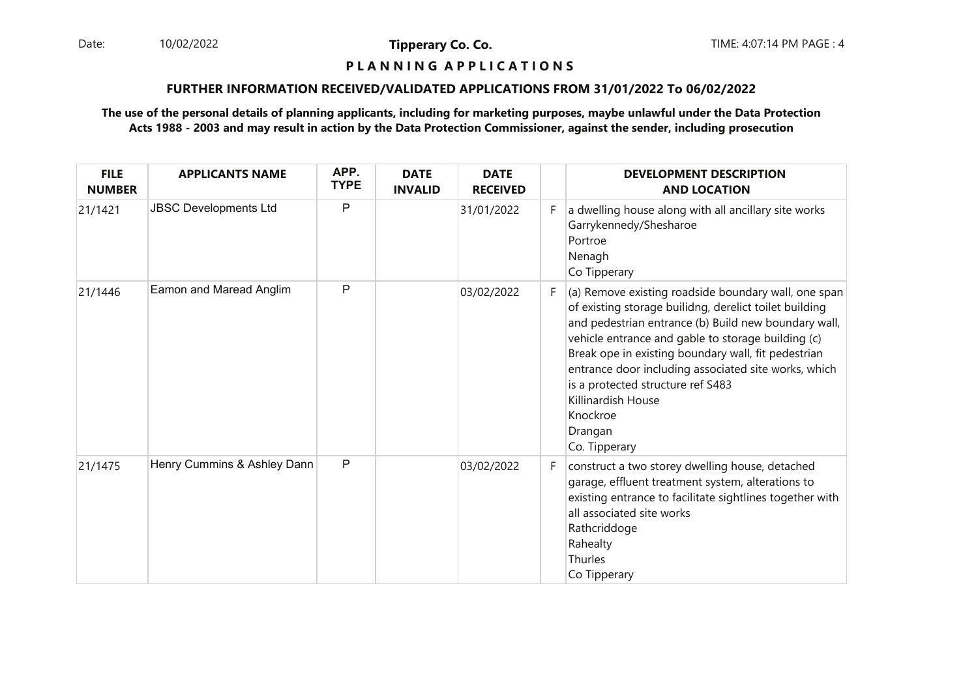Date: 10/02/2022 **Tipperary Co. Co. Co.** The TIME: 4:07:14 PM PAGE : 4 10/02/2022

**Tipperary Co. Co.**

## **P L A N N I N G A P P L I C A T I O N S**

#### **FURTHER INFORMATION RECEIVED/VALIDATED APPLICATIONS FROM 31/01/2022 To 06/02/2022**

| <b>FILE</b><br><b>NUMBER</b> | <b>APPLICANTS NAME</b>       | APP.<br><b>TYPE</b> | <b>DATE</b><br><b>INVALID</b> | <b>DATE</b><br><b>RECEIVED</b> |    | <b>DEVELOPMENT DESCRIPTION</b><br><b>AND LOCATION</b>                                                                                                                                                                                                                                                                                                                                                                                          |
|------------------------------|------------------------------|---------------------|-------------------------------|--------------------------------|----|------------------------------------------------------------------------------------------------------------------------------------------------------------------------------------------------------------------------------------------------------------------------------------------------------------------------------------------------------------------------------------------------------------------------------------------------|
| 21/1421                      | <b>JBSC Developments Ltd</b> | P                   |                               | 31/01/2022                     | F. | a dwelling house along with all ancillary site works<br>Garrykennedy/Shesharoe<br>Portroe<br>Nenagh<br>Co Tipperary                                                                                                                                                                                                                                                                                                                            |
| 21/1446                      | Eamon and Maread Anglim      | P                   |                               | 03/02/2022                     | F. | (a) Remove existing roadside boundary wall, one span<br>of existing storage builidng, derelict toilet building<br>and pedestrian entrance (b) Build new boundary wall,<br>vehicle entrance and gable to storage building (c)<br>Break ope in existing boundary wall, fit pedestrian<br>entrance door including associated site works, which<br>is a protected structure ref S483<br>Killinardish House<br>Knockroe<br>Drangan<br>Co. Tipperary |
| 21/1475                      | Henry Cummins & Ashley Dann  | P                   |                               | 03/02/2022                     | F. | construct a two storey dwelling house, detached<br>garage, effluent treatment system, alterations to<br>existing entrance to facilitate sightlines together with<br>all associated site works<br>Rathcriddoge<br>Rahealty<br>Thurles<br>Co Tipperary                                                                                                                                                                                           |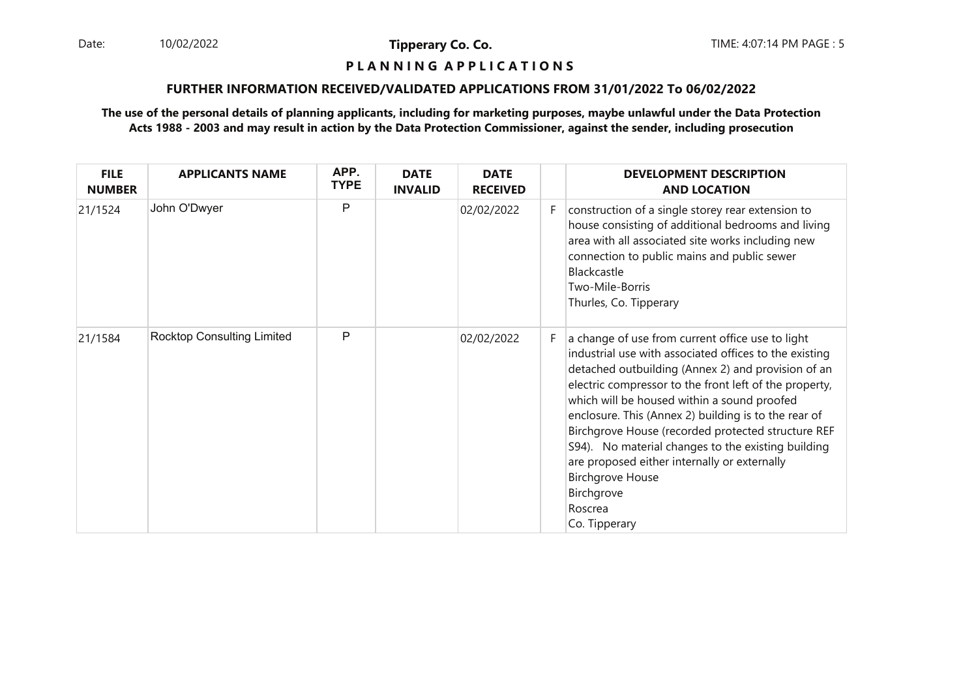Date: 10/02/2022 **Tipperary Co. Co. The Co. Co.** TIME: 4:07:14 PM PAGE : 5 10/02/2022

**Tipperary Co. Co.**

#### **P L A N N I N G A P P L I C A T I O N S**

#### **FURTHER INFORMATION RECEIVED/VALIDATED APPLICATIONS FROM 31/01/2022 To 06/02/2022**

| <b>FILE</b><br><b>NUMBER</b> | <b>APPLICANTS NAME</b>            | APP.<br><b>TYPE</b> | <b>DATE</b><br><b>INVALID</b> | <b>DATE</b><br><b>RECEIVED</b> |    | <b>DEVELOPMENT DESCRIPTION</b><br><b>AND LOCATION</b>                                                                                                                                                                                                                                                                                                                                                                                                                                                                                                              |
|------------------------------|-----------------------------------|---------------------|-------------------------------|--------------------------------|----|--------------------------------------------------------------------------------------------------------------------------------------------------------------------------------------------------------------------------------------------------------------------------------------------------------------------------------------------------------------------------------------------------------------------------------------------------------------------------------------------------------------------------------------------------------------------|
| 21/1524                      | John O'Dwyer                      | P                   |                               | 02/02/2022                     | F. | construction of a single storey rear extension to<br>house consisting of additional bedrooms and living<br>area with all associated site works including new<br>connection to public mains and public sewer<br>Blackcastle<br>Two-Mile-Borris<br>Thurles, Co. Tipperary                                                                                                                                                                                                                                                                                            |
| 21/1584                      | <b>Rocktop Consulting Limited</b> | P                   |                               | 02/02/2022                     | F. | a change of use from current office use to light<br>industrial use with associated offices to the existing<br>detached outbuilding (Annex 2) and provision of an<br>electric compressor to the front left of the property,<br>which will be housed within a sound proofed<br>enclosure. This (Annex 2) building is to the rear of<br>Birchgrove House (recorded protected structure REF<br>S94). No material changes to the existing building<br>are proposed either internally or externally<br><b>Birchgrove House</b><br>Birchgrove<br>Roscrea<br>Co. Tipperary |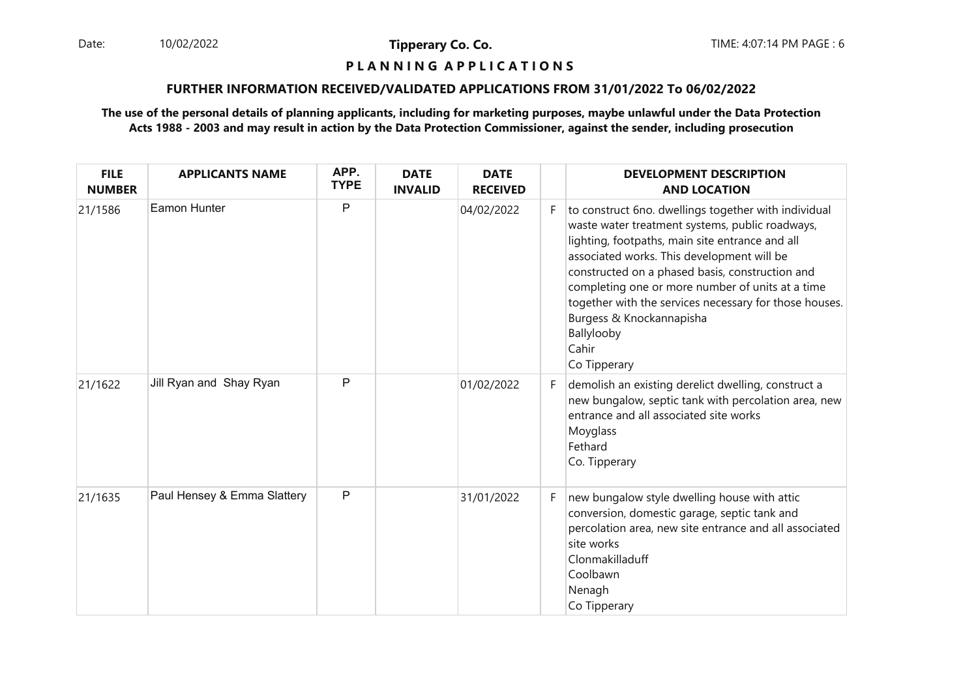Date: 10/02/2022 **Tipperary Co. Co. The Co. Co.** TIME: 4:07:14 PM PAGE : 6 10/02/2022

**Tipperary Co. Co.**

#### **P L A N N I N G A P P L I C A T I O N S**

#### **FURTHER INFORMATION RECEIVED/VALIDATED APPLICATIONS FROM 31/01/2022 To 06/02/2022**

| <b>FILE</b><br><b>NUMBER</b> | <b>APPLICANTS NAME</b>      | APP.<br><b>TYPE</b> | <b>DATE</b><br><b>INVALID</b> | <b>DATE</b><br><b>RECEIVED</b> |    | <b>DEVELOPMENT DESCRIPTION</b><br><b>AND LOCATION</b>                                                                                                                                                                                                                                                                                                                                                                                        |
|------------------------------|-----------------------------|---------------------|-------------------------------|--------------------------------|----|----------------------------------------------------------------------------------------------------------------------------------------------------------------------------------------------------------------------------------------------------------------------------------------------------------------------------------------------------------------------------------------------------------------------------------------------|
| 21/1586                      | Eamon Hunter                | P                   |                               | 04/02/2022                     | F. | to construct 6no. dwellings together with individual<br>waste water treatment systems, public roadways,<br>lighting, footpaths, main site entrance and all<br>associated works. This development will be<br>constructed on a phased basis, construction and<br>completing one or more number of units at a time<br>together with the services necessary for those houses.<br>Burgess & Knockannapisha<br>Ballylooby<br>Cahir<br>Co Tipperary |
| 21/1622                      | Jill Ryan and Shay Ryan     | P                   |                               | 01/02/2022                     | F. | demolish an existing derelict dwelling, construct a<br>new bungalow, septic tank with percolation area, new<br>entrance and all associated site works<br>Moyglass<br>Fethard<br>Co. Tipperary                                                                                                                                                                                                                                                |
| 21/1635                      | Paul Hensey & Emma Slattery | P                   |                               | 31/01/2022                     | F. | new bungalow style dwelling house with attic<br>conversion, domestic garage, septic tank and<br>percolation area, new site entrance and all associated<br>site works<br>Clonmakilladuff<br>Coolbawn<br>Nenagh<br>Co Tipperary                                                                                                                                                                                                                |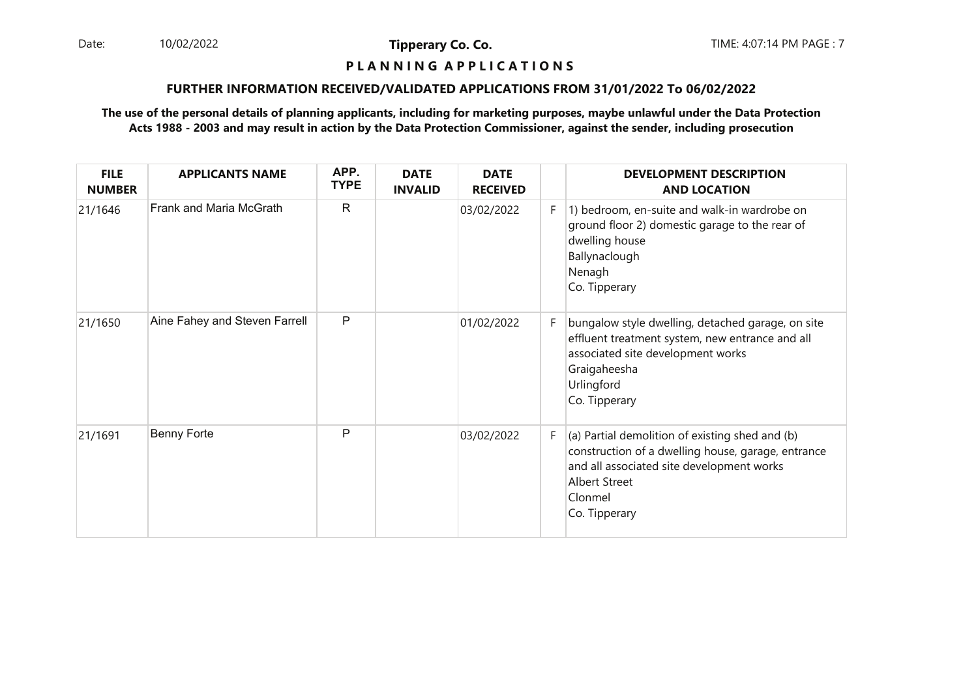Date: 10/02/2022 **Tipperary Co. Co. The Co. Co.** TIME: 4:07:14 PM PAGE : 7 10/02/2022

**Tipperary Co. Co.**

#### **P L A N N I N G A P P L I C A T I O N S**

#### **FURTHER INFORMATION RECEIVED/VALIDATED APPLICATIONS FROM 31/01/2022 To 06/02/2022**

| <b>FILE</b><br><b>NUMBER</b> | <b>APPLICANTS NAME</b>        | APP.<br><b>TYPE</b> | <b>DATE</b><br><b>INVALID</b> | <b>DATE</b><br><b>RECEIVED</b> |    | <b>DEVELOPMENT DESCRIPTION</b><br><b>AND LOCATION</b>                                                                                                                                           |
|------------------------------|-------------------------------|---------------------|-------------------------------|--------------------------------|----|-------------------------------------------------------------------------------------------------------------------------------------------------------------------------------------------------|
| 21/1646                      | Frank and Maria McGrath       | $\mathsf{R}$        |                               | 03/02/2022                     | F. | 1) bedroom, en-suite and walk-in wardrobe on<br>ground floor 2) domestic garage to the rear of<br>dwelling house<br>Ballynaclough<br>Nenagh<br>Co. Tipperary                                    |
| 21/1650                      | Aine Fahey and Steven Farrell | P                   |                               | 01/02/2022                     | F  | bungalow style dwelling, detached garage, on site<br>effluent treatment system, new entrance and all<br>associated site development works<br>Graigaheesha<br>Urlingford<br>Co. Tipperary        |
| 21/1691                      | <b>Benny Forte</b>            | P                   |                               | 03/02/2022                     | F. | (a) Partial demolition of existing shed and (b)<br>construction of a dwelling house, garage, entrance<br>and all associated site development works<br>Albert Street<br>Clonmel<br>Co. Tipperary |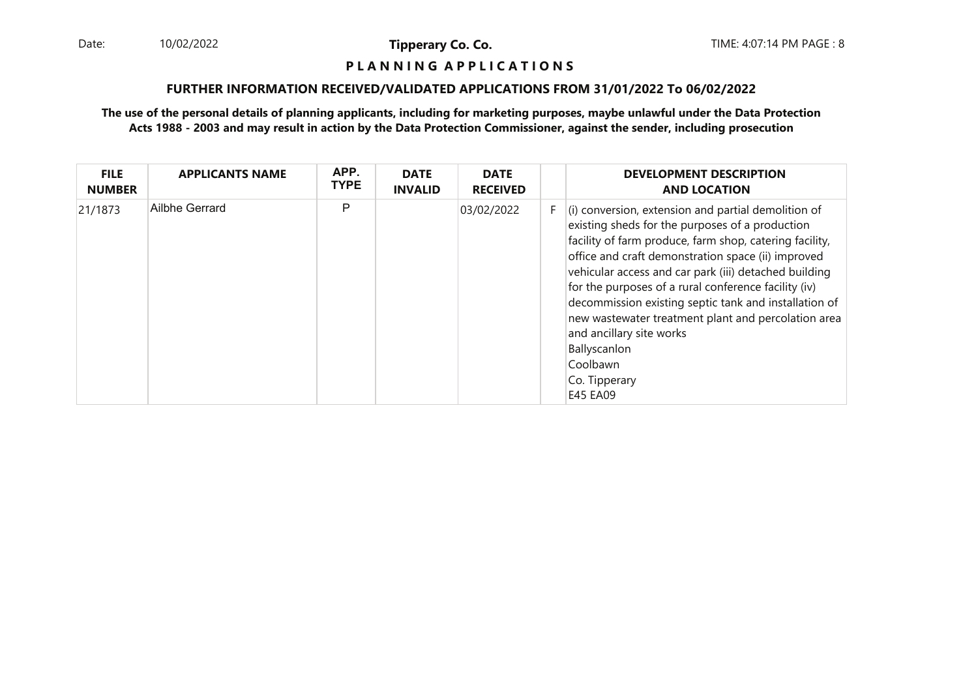Date: 10/02/2022 **Tipperary Co. Co. Co.** The TIME: 4:07:14 PM PAGE : 8 10/02/2022

**Tipperary Co. Co.**

## **P L A N N I N G A P P L I C A T I O N S**

#### **FURTHER INFORMATION RECEIVED/VALIDATED APPLICATIONS FROM 31/01/2022 To 06/02/2022**

| <b>FILE</b><br><b>NUMBER</b> | <b>APPLICANTS NAME</b> | APP.<br><b>TYPE</b> | <b>DATE</b><br><b>INVALID</b> | <b>DATE</b><br><b>RECEIVED</b> |    | <b>DEVELOPMENT DESCRIPTION</b><br><b>AND LOCATION</b>                                                                                                                                                                                                                                                                                                                                                                                                                                                                                           |
|------------------------------|------------------------|---------------------|-------------------------------|--------------------------------|----|-------------------------------------------------------------------------------------------------------------------------------------------------------------------------------------------------------------------------------------------------------------------------------------------------------------------------------------------------------------------------------------------------------------------------------------------------------------------------------------------------------------------------------------------------|
| 21/1873                      | Ailbhe Gerrard         | P                   |                               | 03/02/2022                     | F. | $(i)$ conversion, extension and partial demolition of<br>existing sheds for the purposes of a production<br>facility of farm produce, farm shop, catering facility,<br>office and craft demonstration space (ii) improved<br>vehicular access and car park (iii) detached building<br>for the purposes of a rural conference facility (iv)<br>decommission existing septic tank and installation of<br>new wastewater treatment plant and percolation area<br>and ancillary site works<br>Ballyscanlon<br>Coolbawn<br>Co. Tipperary<br>E45 EA09 |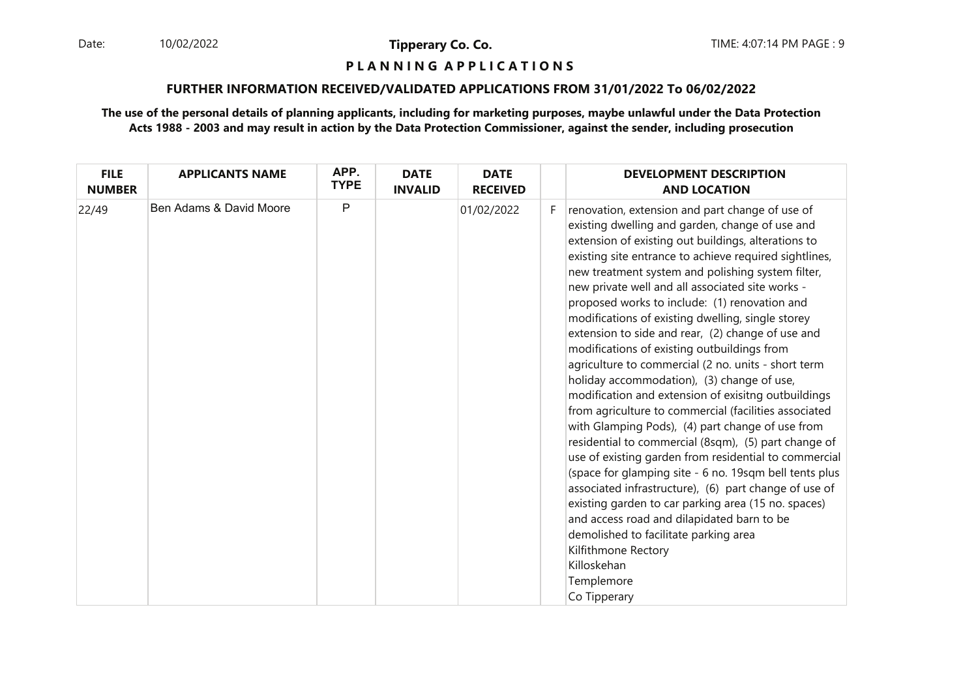Date: 10/02/2022 **Tipperary Co. Co. The Co. Co.** TIME: 4:07:14 PM PAGE : 9 10/02/2022

**Tipperary Co. Co.**

## **P L A N N I N G A P P L I C A T I O N S**

#### **FURTHER INFORMATION RECEIVED/VALIDATED APPLICATIONS FROM 31/01/2022 To 06/02/2022**

| <b>FILE</b><br><b>NUMBER</b> | <b>APPLICANTS NAME</b>  | APP.<br><b>TYPE</b> | <b>DATE</b><br><b>INVALID</b> | <b>DATE</b><br><b>RECEIVED</b> |    | <b>DEVELOPMENT DESCRIPTION</b><br><b>AND LOCATION</b>                                                                                                                                                                                                                                                                                                                                                                                                                                                                                                                                                                                                                                                                                                                                                                                                                                                                                                                                                                                                                                                                                                                                                                                                                 |
|------------------------------|-------------------------|---------------------|-------------------------------|--------------------------------|----|-----------------------------------------------------------------------------------------------------------------------------------------------------------------------------------------------------------------------------------------------------------------------------------------------------------------------------------------------------------------------------------------------------------------------------------------------------------------------------------------------------------------------------------------------------------------------------------------------------------------------------------------------------------------------------------------------------------------------------------------------------------------------------------------------------------------------------------------------------------------------------------------------------------------------------------------------------------------------------------------------------------------------------------------------------------------------------------------------------------------------------------------------------------------------------------------------------------------------------------------------------------------------|
| 22/49                        | Ben Adams & David Moore | P                   |                               | 01/02/2022                     | F. | renovation, extension and part change of use of<br>existing dwelling and garden, change of use and<br>extension of existing out buildings, alterations to<br>existing site entrance to achieve required sightlines,<br>new treatment system and polishing system filter,<br>new private well and all associated site works -<br>proposed works to include: (1) renovation and<br>modifications of existing dwelling, single storey<br>extension to side and rear, (2) change of use and<br>modifications of existing outbuildings from<br>agriculture to commercial (2 no. units - short term<br>holiday accommodation), (3) change of use,<br>modification and extension of exisitng outbuildings<br>from agriculture to commercial (facilities associated<br>with Glamping Pods), (4) part change of use from<br>residential to commercial (8sqm), (5) part change of<br>use of existing garden from residential to commercial<br>(space for glamping site - 6 no. 19sqm bell tents plus<br>associated infrastructure), (6) part change of use of<br>existing garden to car parking area (15 no. spaces)<br>and access road and dilapidated barn to be<br>demolished to facilitate parking area<br>Kilfithmone Rectory<br>Killoskehan<br>Templemore<br>Co Tipperary |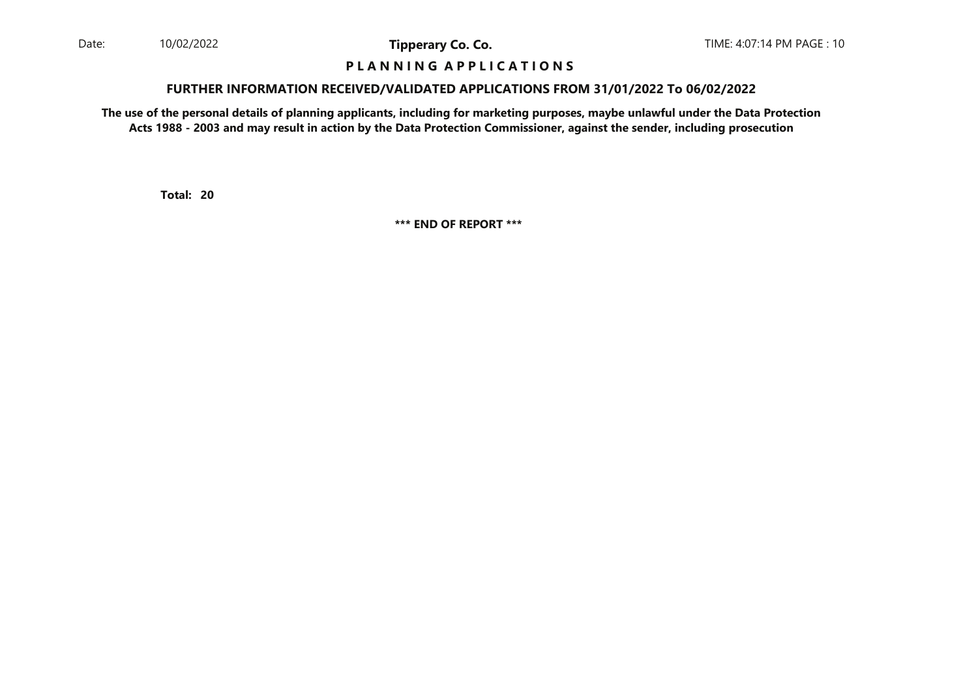#### **P L A N N I N G A P P L I C A T I O N S**

#### **FURTHER INFORMATION RECEIVED/VALIDATED APPLICATIONS FROM 31/01/2022 To 06/02/2022**

**The use of the personal details of planning applicants, including for marketing purposes, maybe unlawful under the Data ProtectionActs 1988 - 2003 and may result in action by the Data Protection Commissioner, against the sender, including prosecution**

**20Total:**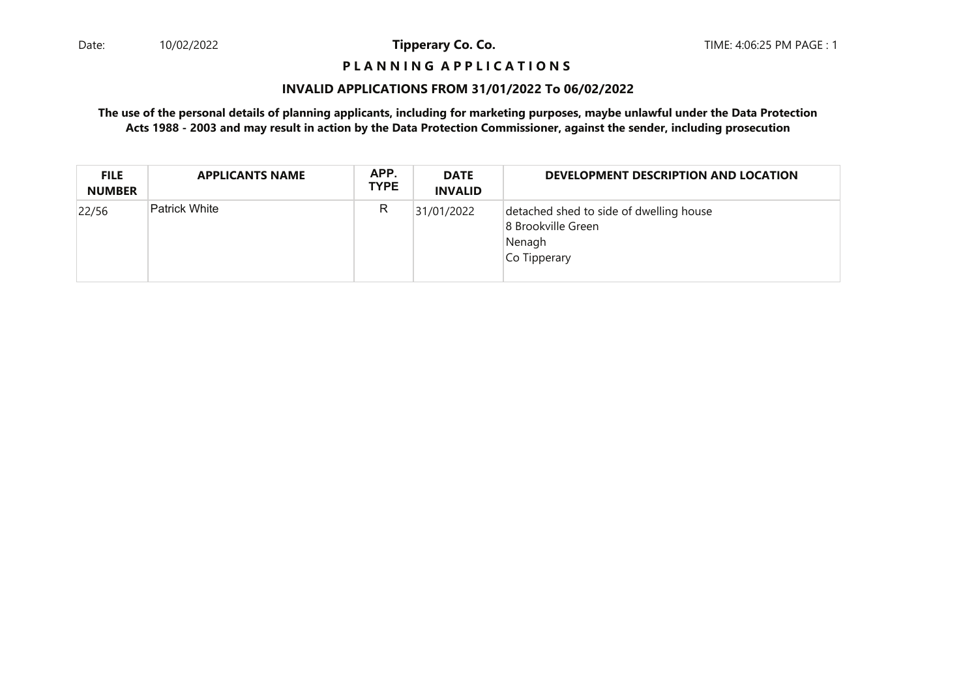## **P L A N N I N G A P P L I C A T I O N S**

#### **INVALID APPLICATIONS FROM 31/01/2022 To 06/02/2022**

| <b>FILE</b><br><b>NUMBER</b> | <b>APPLICANTS NAME</b> | APP.<br><b>TYPE</b> | <b>DATE</b><br><b>INVALID</b> | DEVELOPMENT DESCRIPTION AND LOCATION                                                    |
|------------------------------|------------------------|---------------------|-------------------------------|-----------------------------------------------------------------------------------------|
| 22/56                        | Patrick White          | R                   | 31/01/2022                    | detached shed to side of dwelling house<br>8 Brookville Green<br>Nenagh<br>Co Tipperary |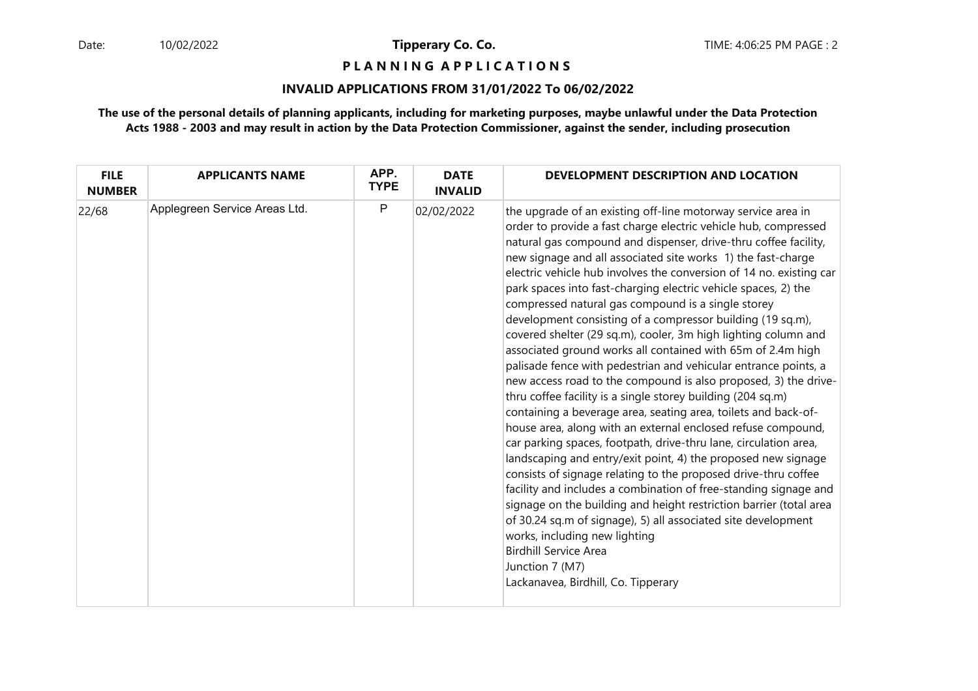**P L A N N I N G A P P L I C A T I O N S** 

#### **INVALID APPLICATIONS FROM 31/01/2022 To 06/02/2022**

| <b>FILE</b><br><b>NUMBER</b> | <b>APPLICANTS NAME</b>        | APP.<br><b>TYPE</b> | <b>DATE</b><br><b>INVALID</b> | DEVELOPMENT DESCRIPTION AND LOCATION                                                                                                                                                                                                                                                                                                                                                                                                                                                                                                                                                                                                                                                                                                                                                                                                                                                                                                                                                                                                                                                                                                                                                                                                                                                                                                                                                                                                                                                                                                                 |
|------------------------------|-------------------------------|---------------------|-------------------------------|------------------------------------------------------------------------------------------------------------------------------------------------------------------------------------------------------------------------------------------------------------------------------------------------------------------------------------------------------------------------------------------------------------------------------------------------------------------------------------------------------------------------------------------------------------------------------------------------------------------------------------------------------------------------------------------------------------------------------------------------------------------------------------------------------------------------------------------------------------------------------------------------------------------------------------------------------------------------------------------------------------------------------------------------------------------------------------------------------------------------------------------------------------------------------------------------------------------------------------------------------------------------------------------------------------------------------------------------------------------------------------------------------------------------------------------------------------------------------------------------------------------------------------------------------|
| 22/68                        | Applegreen Service Areas Ltd. | P                   | 02/02/2022                    | the upgrade of an existing off-line motorway service area in<br>order to provide a fast charge electric vehicle hub, compressed<br>natural gas compound and dispenser, drive-thru coffee facility,<br>new signage and all associated site works 1) the fast-charge<br>electric vehicle hub involves the conversion of 14 no. existing car<br>park spaces into fast-charging electric vehicle spaces, 2) the<br>compressed natural gas compound is a single storey<br>development consisting of a compressor building (19 sq.m),<br>covered shelter (29 sq.m), cooler, 3m high lighting column and<br>associated ground works all contained with 65m of 2.4m high<br>palisade fence with pedestrian and vehicular entrance points, a<br>new access road to the compound is also proposed, 3) the drive-<br>thru coffee facility is a single storey building (204 sq.m)<br>containing a beverage area, seating area, toilets and back-of-<br>house area, along with an external enclosed refuse compound,<br>car parking spaces, footpath, drive-thru lane, circulation area,<br>landscaping and entry/exit point, 4) the proposed new signage<br>consists of signage relating to the proposed drive-thru coffee<br>facility and includes a combination of free-standing signage and<br>signage on the building and height restriction barrier (total area<br>of 30.24 sq.m of signage), 5) all associated site development<br>works, including new lighting<br><b>Birdhill Service Area</b><br>Junction 7 (M7)<br>Lackanavea, Birdhill, Co. Tipperary |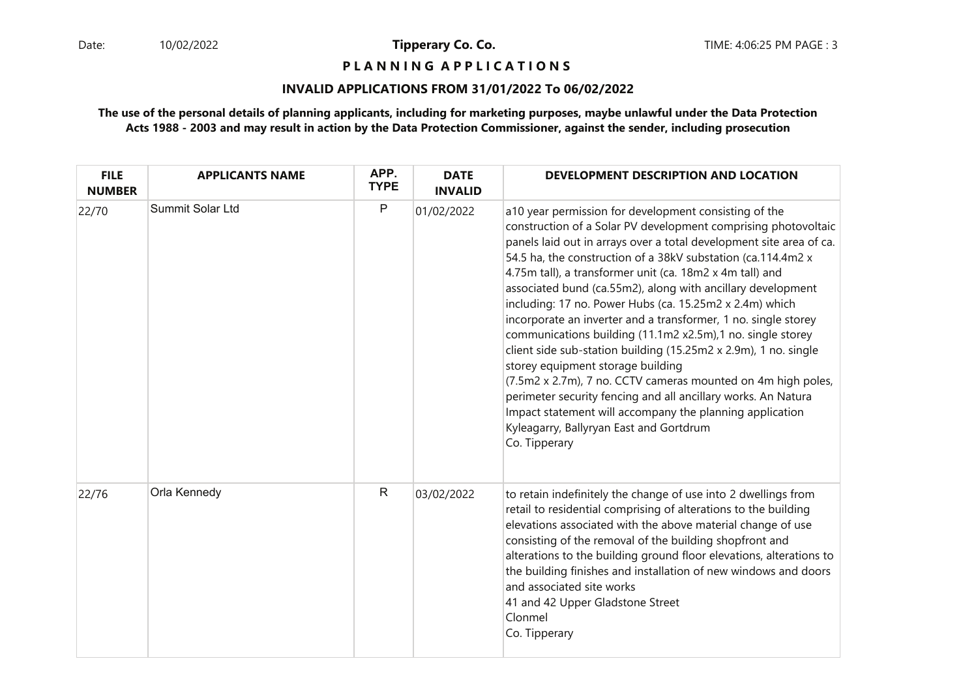**P L A N N I N G A P P L I C A T I O N S** 

#### **INVALID APPLICATIONS FROM 31/01/2022 To 06/02/2022**

| <b>FILE</b><br><b>NUMBER</b> | <b>APPLICANTS NAME</b> | APP.<br><b>TYPE</b> | <b>DATE</b><br><b>INVALID</b> | DEVELOPMENT DESCRIPTION AND LOCATION                                                                                                                                                                                                                                                                                                                                                                                                                                                                                                                                                                                                                                                                                                                                                                                                                                                                                                                  |
|------------------------------|------------------------|---------------------|-------------------------------|-------------------------------------------------------------------------------------------------------------------------------------------------------------------------------------------------------------------------------------------------------------------------------------------------------------------------------------------------------------------------------------------------------------------------------------------------------------------------------------------------------------------------------------------------------------------------------------------------------------------------------------------------------------------------------------------------------------------------------------------------------------------------------------------------------------------------------------------------------------------------------------------------------------------------------------------------------|
| 22/70                        | Summit Solar Ltd       | $\mathsf{P}$        | 01/02/2022                    | a10 year permission for development consisting of the<br>construction of a Solar PV development comprising photovoltaic<br>panels laid out in arrays over a total development site area of ca.<br>54.5 ha, the construction of a 38kV substation (ca.114.4m2 x<br>4.75m tall), a transformer unit (ca. 18m2 x 4m tall) and<br>associated bund (ca.55m2), along with ancillary development<br>including: 17 no. Power Hubs (ca. 15.25m2 x 2.4m) which<br>incorporate an inverter and a transformer, 1 no. single storey<br>communications building (11.1m2 x2.5m),1 no. single storey<br>client side sub-station building (15.25m2 x 2.9m), 1 no. single<br>storey equipment storage building<br>(7.5m2 x 2.7m), 7 no. CCTV cameras mounted on 4m high poles,<br>perimeter security fencing and all ancillary works. An Natura<br>Impact statement will accompany the planning application<br>Kyleagarry, Ballyryan East and Gortdrum<br>Co. Tipperary |
| 22/76                        | Orla Kennedy           | $\mathsf{R}$        | 03/02/2022                    | to retain indefinitely the change of use into 2 dwellings from<br>retail to residential comprising of alterations to the building<br>elevations associated with the above material change of use<br>consisting of the removal of the building shopfront and<br>alterations to the building ground floor elevations, alterations to<br>the building finishes and installation of new windows and doors<br>and associated site works<br>41 and 42 Upper Gladstone Street<br>Clonmel<br>Co. Tipperary                                                                                                                                                                                                                                                                                                                                                                                                                                                    |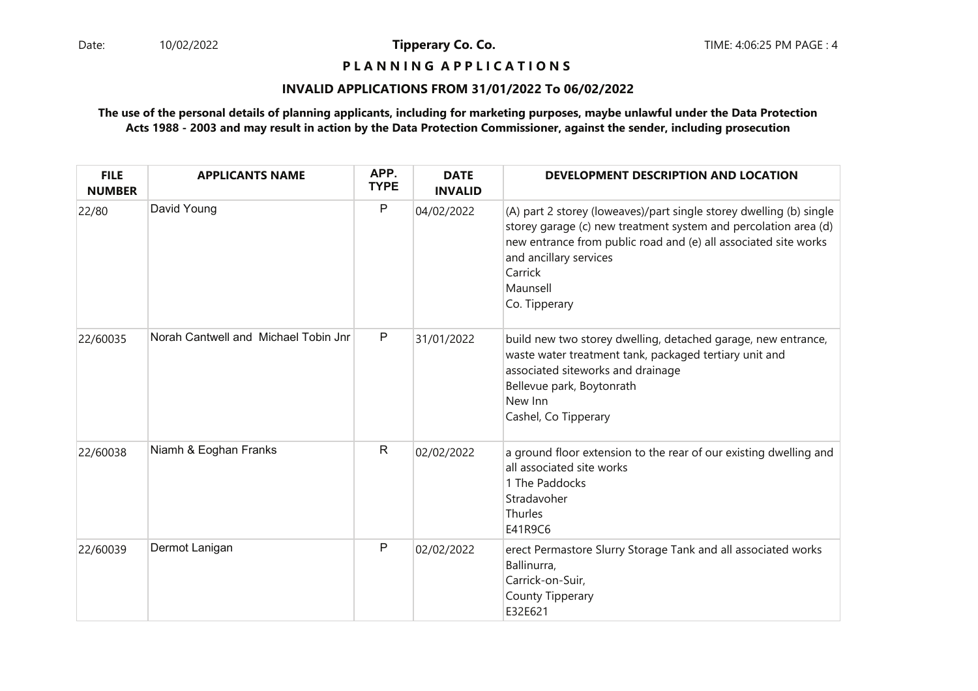## **P L A N N I N G A P P L I C A T I O N S**

#### **INVALID APPLICATIONS FROM 31/01/2022 To 06/02/2022**

| <b>FILE</b><br><b>NUMBER</b> | <b>APPLICANTS NAME</b>               | APP.<br><b>TYPE</b> | <b>DATE</b><br><b>INVALID</b> | DEVELOPMENT DESCRIPTION AND LOCATION                                                                                                                                                                                                                                        |
|------------------------------|--------------------------------------|---------------------|-------------------------------|-----------------------------------------------------------------------------------------------------------------------------------------------------------------------------------------------------------------------------------------------------------------------------|
| 22/80                        | David Young                          | P                   | 04/02/2022                    | (A) part 2 storey (loweaves)/part single storey dwelling (b) single<br>storey garage (c) new treatment system and percolation area (d)<br>new entrance from public road and (e) all associated site works<br>and ancillary services<br>Carrick<br>Maunsell<br>Co. Tipperary |
| 22/60035                     | Norah Cantwell and Michael Tobin Jnr | P                   | 31/01/2022                    | build new two storey dwelling, detached garage, new entrance,<br>waste water treatment tank, packaged tertiary unit and<br>associated siteworks and drainage<br>Bellevue park, Boytonrath<br>New Inn<br>Cashel, Co Tipperary                                                |
| 22/60038                     | Niamh & Eoghan Franks                | $\mathsf{R}$        | 02/02/2022                    | a ground floor extension to the rear of our existing dwelling and<br>all associated site works<br>1 The Paddocks<br>Stradavoher<br>Thurles<br>E41R9C6                                                                                                                       |
| 22/60039                     | Dermot Lanigan                       | P                   | 02/02/2022                    | erect Permastore Slurry Storage Tank and all associated works<br>Ballinurra,<br>Carrick-on-Suir,<br>County Tipperary<br>E32E621                                                                                                                                             |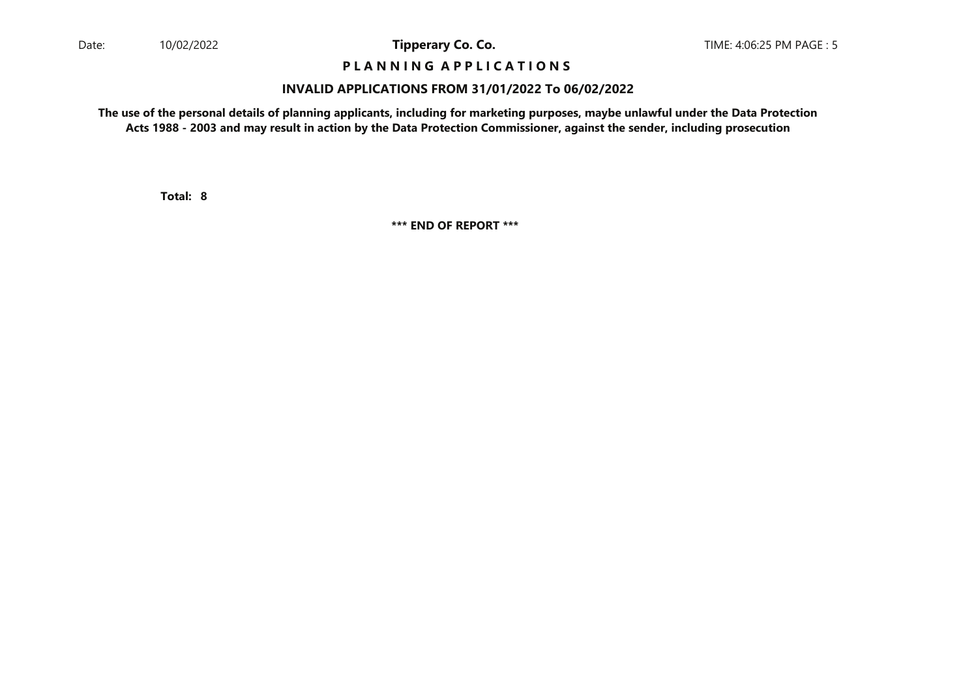## **P L A N N I N G A P P L I C A T I O N S**

#### **INVALID APPLICATIONS FROM 31/01/2022 To 06/02/2022**

**The use of the personal details of planning applicants, including for marketing purposes, maybe unlawful under the Data ProtectionActs 1988 - 2003 and may result in action by the Data Protection Commissioner, against the sender, including prosecution**

**8Total:**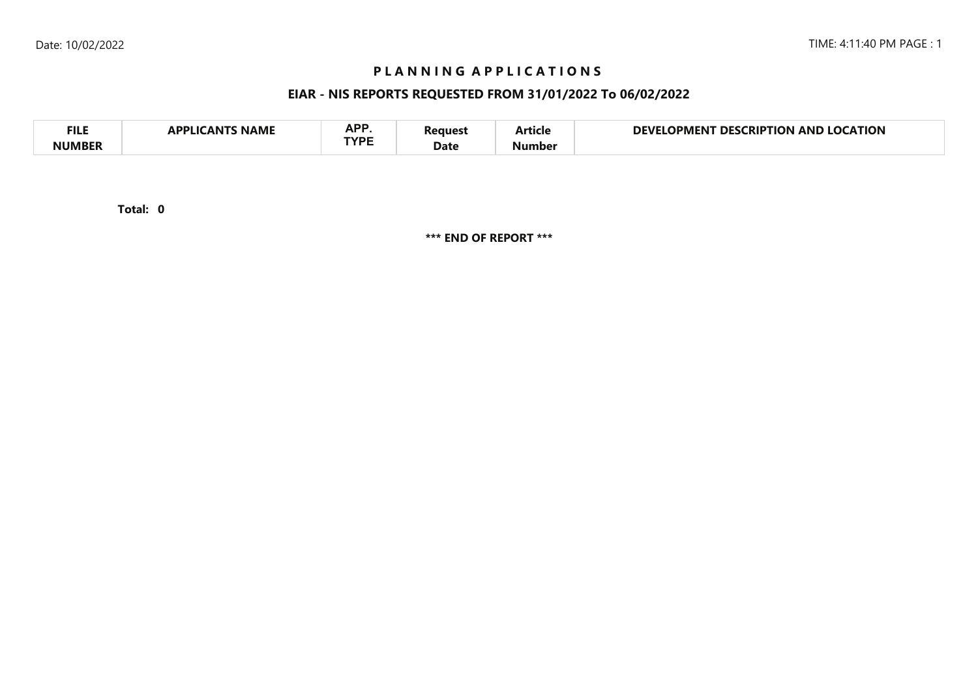## **P L A N N I N G A P P L I C A T I O N S**

## **EIAR - NIS REPORTS REQUESTED FROM 31/01/2022 To 06/02/2022**

| <b>FILE</b> | <b>NAME</b><br>A DDI IG<br>л NI | <b>ADD</b><br>NF I<br>TVDC | 'eaues' | - -<br>Article | <b>LOCATION</b><br>NFVI<br><b>LOCKIPTION</b><br>DES<br>OPMENT<br>AND |  |
|-------------|---------------------------------|----------------------------|---------|----------------|----------------------------------------------------------------------|--|
| NIIMRFR     |                                 |                            | Date    | Number         |                                                                      |  |

**0Total:**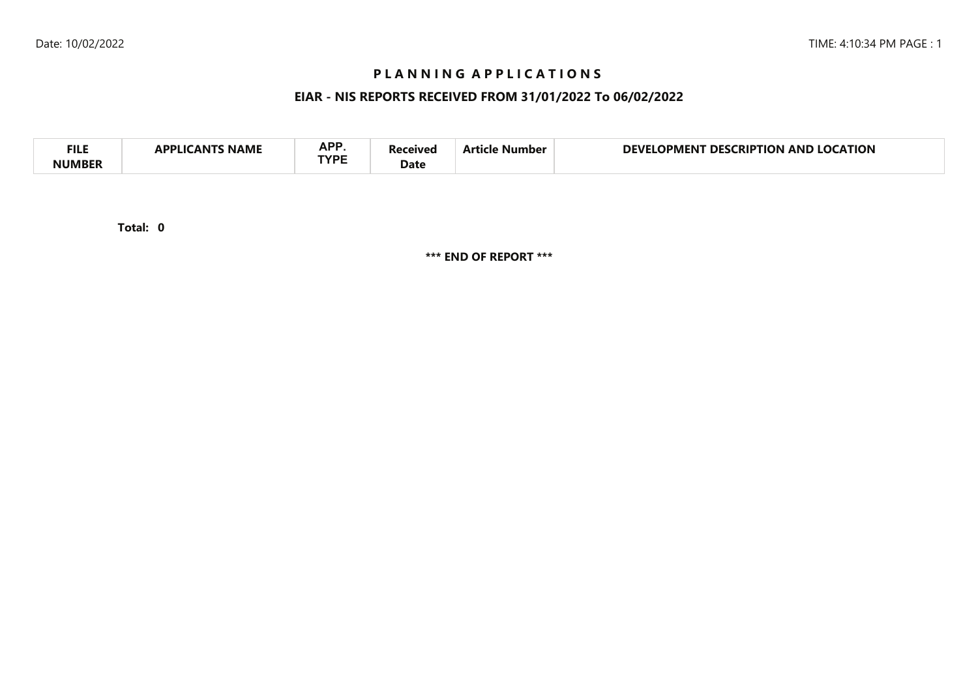# **P L A N N I N G A P P L I C A T I O N S**

## **EIAR - NIS REPORTS RECEIVED FROM 31/01/2022 To 06/02/2022**

| <b>APP</b><br><b>FILI</b><br><b>CATION</b><br>DEVI<br>AND<br>no<br>RIP.<br>ΓΙΩΝ<br>DES.<br>11701<br>Vumber<br>IPMEN I<br>NAML<br><b>TVDC</b><br>Date |  |
|------------------------------------------------------------------------------------------------------------------------------------------------------|--|
|------------------------------------------------------------------------------------------------------------------------------------------------------|--|

**0Total:**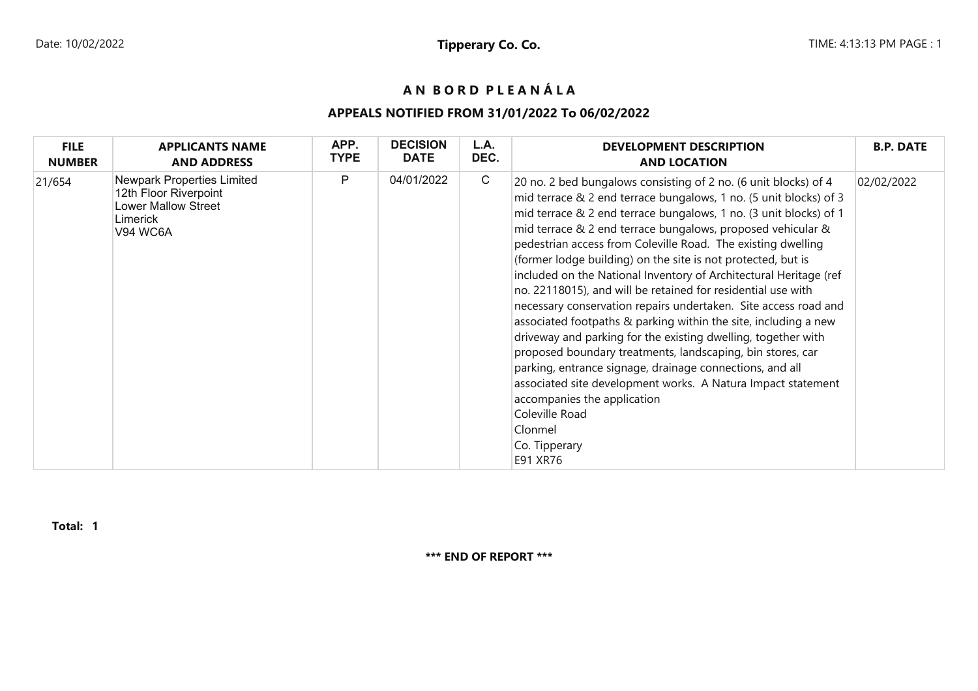# **A N B O R D P L E A N Á L A**

# **APPEALS NOTIFIED FROM 31/01/2022 To 06/02/2022**

| <b>FILE</b>   | <b>APPLICANTS NAME</b>                                                                                           | APP.        | <b>DECISION</b> | L.A.         | <b>DEVELOPMENT DESCRIPTION</b>                                                                                                                                                                                                                                                                                                                                                                                                                                                                                                                                                                                                                                                                                                                                                                                                                                                                                                                                                                                                          | <b>B.P. DATE</b> |
|---------------|------------------------------------------------------------------------------------------------------------------|-------------|-----------------|--------------|-----------------------------------------------------------------------------------------------------------------------------------------------------------------------------------------------------------------------------------------------------------------------------------------------------------------------------------------------------------------------------------------------------------------------------------------------------------------------------------------------------------------------------------------------------------------------------------------------------------------------------------------------------------------------------------------------------------------------------------------------------------------------------------------------------------------------------------------------------------------------------------------------------------------------------------------------------------------------------------------------------------------------------------------|------------------|
| <b>NUMBER</b> | <b>AND ADDRESS</b>                                                                                               | <b>TYPE</b> | <b>DATE</b>     | DEC.         | <b>AND LOCATION</b>                                                                                                                                                                                                                                                                                                                                                                                                                                                                                                                                                                                                                                                                                                                                                                                                                                                                                                                                                                                                                     |                  |
| 21/654        | <b>Newpark Properties Limited</b><br>12th Floor Riverpoint<br><b>Lower Mallow Street</b><br>Limerick<br>V94 WC6A | P           | 04/01/2022      | $\mathsf{C}$ | 20 no. 2 bed bungalows consisting of 2 no. (6 unit blocks) of 4<br>mid terrace & 2 end terrace bungalows, 1 no. (5 unit blocks) of 3<br>mid terrace & 2 end terrace bungalows, 1 no. (3 unit blocks) of 1<br>mid terrace & 2 end terrace bungalows, proposed vehicular &<br>pedestrian access from Coleville Road. The existing dwelling<br>(former lodge building) on the site is not protected, but is<br>included on the National Inventory of Architectural Heritage (ref<br>no. 22118015), and will be retained for residential use with<br>necessary conservation repairs undertaken. Site access road and<br>associated footpaths & parking within the site, including a new<br>driveway and parking for the existing dwelling, together with<br>proposed boundary treatments, landscaping, bin stores, car<br>parking, entrance signage, drainage connections, and all<br>associated site development works. A Natura Impact statement<br>accompanies the application<br>Coleville Road<br>Clonmel<br>Co. Tipperary<br>E91 XR76 | 02/02/2022       |

**Total: 1**